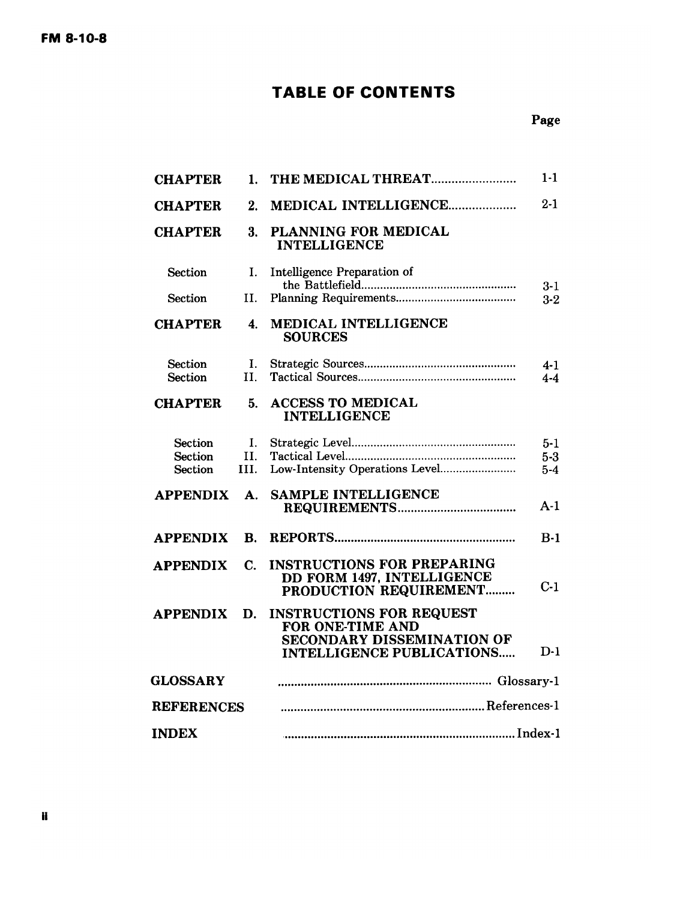# **TABLE OF CONTENTS**

## Page

| <b>CHAPTER</b>                   | 1.             | THE MEDICAL THREAT                                                                                                    | $1 - 1$            |
|----------------------------------|----------------|-----------------------------------------------------------------------------------------------------------------------|--------------------|
| <b>CHAPTER</b>                   | 2.             | MEDICAL INTELLIGENCE                                                                                                  | $2 - 1$            |
| <b>CHAPTER</b>                   | 3.             | PLANNING FOR MEDICAL<br><b>INTELLIGENCE</b>                                                                           |                    |
| Section                          | I.             | Intelligence Preparation of                                                                                           | $3 - 1$            |
| Section                          | II.            |                                                                                                                       | $3-2$              |
| <b>CHAPTER</b>                   | 4.             | MEDICAL INTELLIGENCE<br><b>SOURCES</b>                                                                                |                    |
| Section<br>Section               | I.<br>II.      |                                                                                                                       | $4 - 1$<br>$4 - 4$ |
| <b>CHAPTER</b>                   | 5.             | <b>ACCESS TO MEDICAL</b><br><b>INTELLIGENCE</b>                                                                       |                    |
| <b>Section</b>                   | L.             |                                                                                                                       | $5 - 1$            |
| <b>Section</b><br><b>Section</b> | H.<br>HI.      | Low-Intensity Operations Level                                                                                        | $5-3$<br>$5-4$     |
| <b>APPENDIX</b>                  | А.             | <b>SAMPLE INTELLIGENCE</b>                                                                                            | $A-1$              |
| <b>APPENDIX</b>                  | B.             |                                                                                                                       | $B-1$              |
| <b>APPENDIX</b>                  | $\mathbf{C}$ . | <b>INSTRUCTIONS FOR PREPARING</b><br>DD FORM 1497, INTELLIGENCE<br>PRODUCTION REQUIREMENT                             | $C-1$              |
| <b>APPENDIX</b>                  | D.             | <b>INSTRUCTIONS FOR REQUEST</b><br>FOR ONE-TIME AND<br>SECONDARY DISSEMINATION OF<br><b>INTELLIGENCE PUBLICATIONS</b> | D-1                |
| <b>GLOSSARY</b>                  |                |                                                                                                                       |                    |
| <b>REFERENCES</b>                |                |                                                                                                                       |                    |
| <b>INDEX</b>                     |                |                                                                                                                       |                    |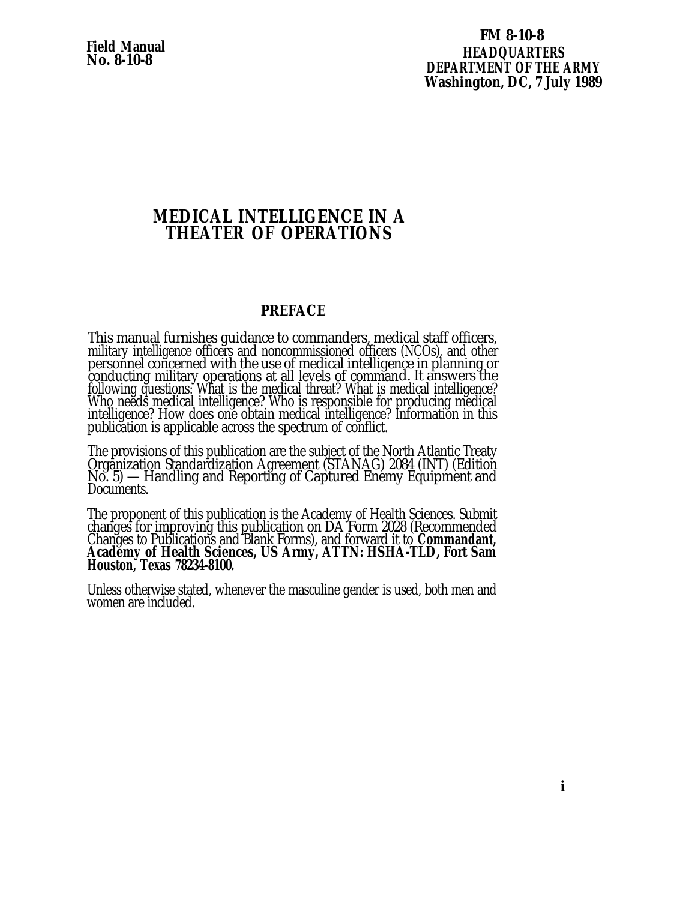<span id="page-1-0"></span>**Field Manual No. 8-10-8**

## **FM 8-10-8 HEADQUARTERS DEPARTMENT OF THE ARMY Washington, DC, 7 July 1989**

## **MEDICAL INTELLIGENCE IN A THEATER OF OPERATIONS**

## **PREFACE**

This manual furnishes guidance to commanders, medical staff officers, military intelligence officers and noncommissioned officers (NCOs), and other personnel concerned with the use of medical intelligence in planning or conducting military operations at all levels of command. It answers the following questions: What is the medical threat? What is medical intelligence? Who needs medical intelligence? Who is responsible for producing medical intelligence? How does one obtain medical intelligence? Information in this publication is applicable across the spectrum of conflict.

The provisions of this publication are the subject of the North Atlantic Treaty Organization Standardization Agreement (STANAG) 2084 (INT) (Edition No. 5) — Handling and Reporting of Captured Enemy Equipment and Documents.

The proponent of this publication is the Academy of Health Sciences. Submit changes for improving this publication on DA Form 2028 (Recommended Changes to Publications and Blank Forms), and forward it to **Commandant, Academy of Health Sciences, US Army, ATTN: HSHA-TLD, Fort Sam Houston, Texas 78234-8100.**

Unless otherwise stated, whenever the masculine gender is used, both men and women are included.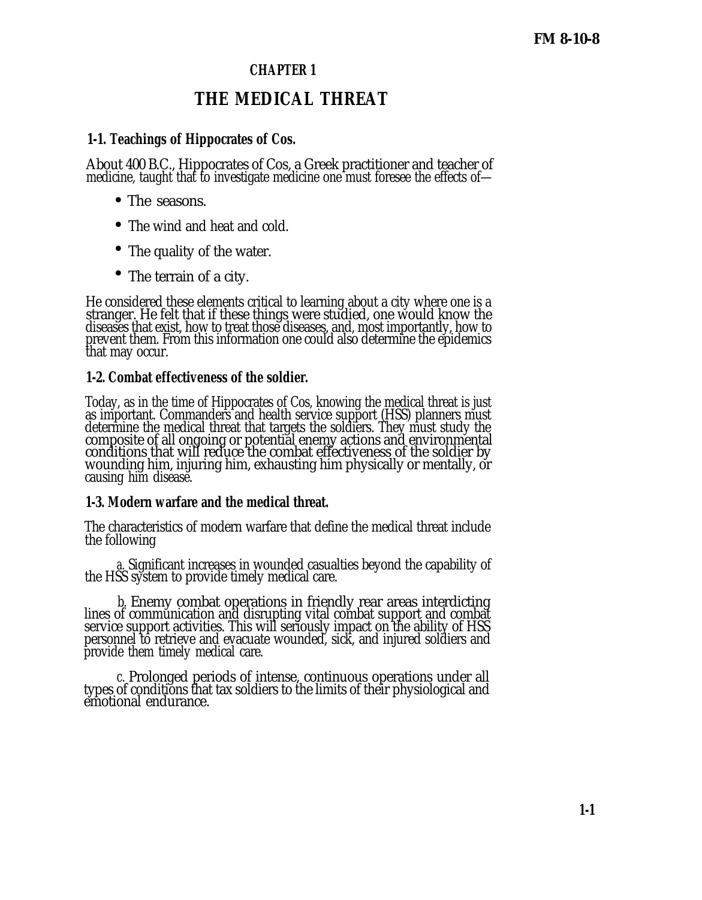## **CHAPTER 1**

# **THE MEDICAL THREAT**

## **1-1. Teachings of Hippocrates of Cos.**

About 400 B.C., Hippocrates of Cos, a Greek practitioner and teacher of medicine, taught that to investigate medicine one must foresee the effects of—

- The seasons.
- The wind and heat and cold.
- The quality of the water.
- The terrain of a city.

He considered these elements critical to learning about a city where one is a stranger. He felt that if these things were studied, one would know the diseases that exist, how to treat those diseases, and, most importantly, how to prevent them. From this information one could also determine the epidemics that may occur.

## **1-2. Combat effectiveness of the soldier.**

Today, as in the time of Hippocrates of Cos, knowing the medical threat is just as important. Commanders and health service support (HSS) planners must determine the medical threat that targets the soldiers. They must study the composite of all ongoing or potential enemy actions and environmental conditions that will reduce the combat effectiveness of the soldier by wounding him, injuring him, exhausting him physically or mentally, or causing him disease.

## **1-3. Modern warfare and the medical threat.**

The characteristics of modern warfare that define the medical threat include the following

*a.* Significant increases in wounded casualties beyond the capability of the HSS system to provide timely medical care.

*b.* Enemy combat operations in friendly rear areas interdicting lines of communication and disrupting vital combat support and combat service support activities. This will seriously impact on the ability of HSS personnel to retrieve and evacuate wounded, sick, and injured soldiers and provide them timely medical care.

*c.* Prolonged periods of intense, continuous operations under all types of conditions that tax soldiers to the limits of their physiological and emotional endurance.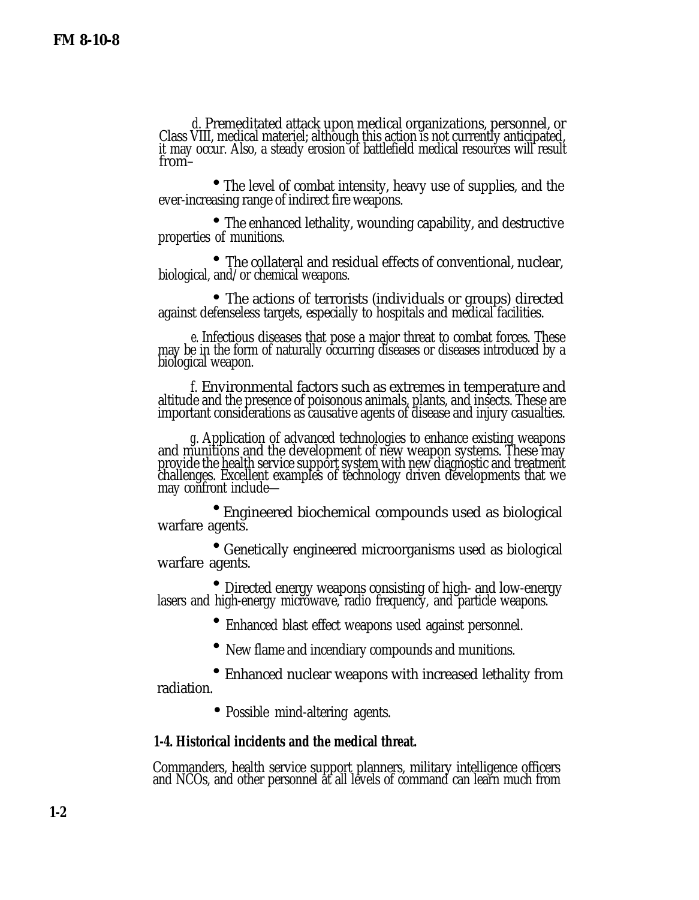<span id="page-3-0"></span>*d.* Premeditated attack upon medical organizations, personnel, or Class VIII, medical materiel; although this action is not currently anticipated, it may occur. Also, a steady erosion of battlefield medical resources will result from–

 • The level of combat intensity, heavy use of supplies, and the ever-increasing range of indirect fire weapons.

• The enhanced lethality, wounding capability, and destructive properties of munitions.

 • The collateral and residual effects of conventional, nuclear, biological, and/or chemical weapons.

 $\bullet$ The actions of terrorists (individuals or groups) directed against defenseless targets, especially to hospitals and medical facilities.

*e.* Infectious diseases that pose a major threat to combat forces. These may be in the form of naturally occurring diseases or diseases introduced by a biological weapon.

*f.* Environmental factors such as extremes in temperature and altitude and the presence of poisonous animals, plants, and insects. These are important considerations as causative agents of disease and injury casualties.

*g.* Application of advanced technologies to enhance existing weapons and munitions and the development of new weapon systems. These may provide the health service support system with new diagnostic and treatment challenges. Excellent examples of technology driven developments that we may confront include—

 • Engineered biochemical compounds used as biological warfare agents.

 • Genetically engineered microorganisms used as biological warfare agents.

 • Directed energy weapons consisting of high- and low-energy lasers and high-energy microwave, radio frequency, and particle weapons.

• Enhanced blast effect weapons used against personnel.

• New flame and incendiary compounds and munitions.

 • Enhanced nuclear weapons with increased lethality from radiation.

• Possible mind-altering agents.

## **1-4. Historical incidents and the medical threat.**

Commanders, health service support planners, military intelligence officers and NCOs, and other personnel at all levels of command can learn much from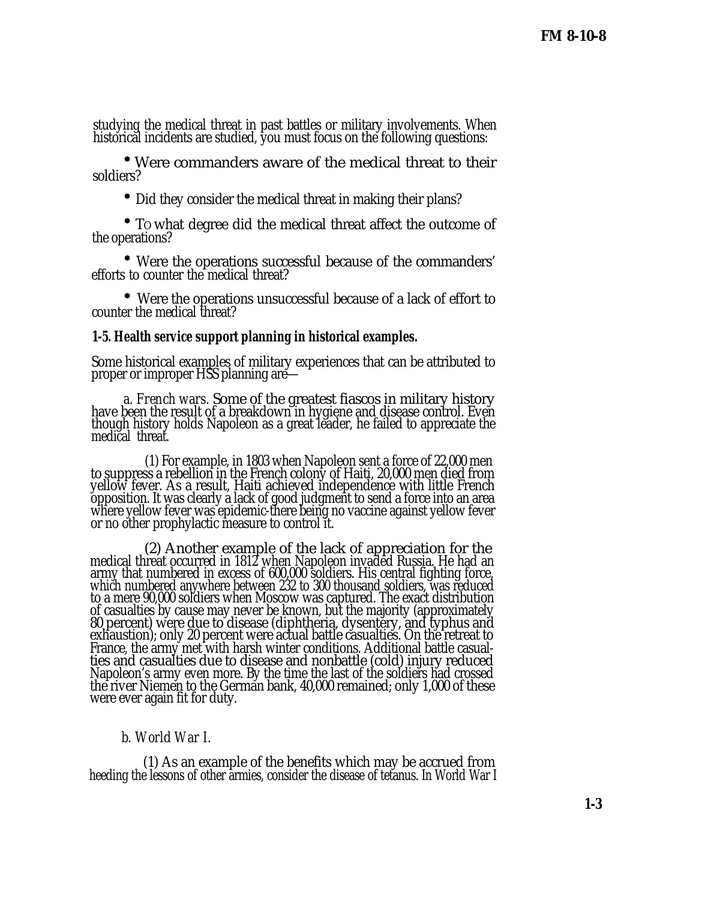studying the medical threat in past battles or military involvements. When historical incidents are studied, you must focus on the following questions:

 • Were commanders aware of the medical threat to their soldiers?

• Did they consider the medical threat in making their plans?

 • TO what degree did the medical threat affect the outcome of the operations?

 • Were the operations successful because of the commanders' efforts to counter the medical threat?

 • Were the operations unsuccessful because of a lack of effort to counter the medical threat?

### **1-5. Health service support planning in historical examples.**

Some historical examples of military experiences that can be attributed to proper or improper HSS planning are—

*a. French wars.* Some of the greatest fiascos in military history have been the result of a breakdown in hygiene and disease control. Even though history holds Napoleon as a great leader, he failed to appreciate the medical threat.

(1) For example, in 1803 when Napoleon sent a force of 22,000 men to suppress a rebellion in the French colony of Haiti, 20,000 men died from yellow fever. As a result, Haiti achieved independence with little French opposition. It was clearly a lack of good judgment to send a force into an area where yellow fever was epidemic-there being no vaccine against yellow fever or no other prophylactic measure to control it.

(2) Another example of the lack of appreciation for the medical threat occurred in 1812 when Napoleon invaded Russia. He had an army that numbered in excess of 600,000 soldiers. His central fighting force, which numbered anywhere between 232 to 300 thousand soldiers, was reduced to a mere 90,000 soldiers when Moscow was captured. The exact distribution of casualties by cause may never be known, but the majority (approximately 80 percent) were due to disease (diphtheria, dysentery, and typhus and exhaustion); only 20 percent were actual battle casualties. On the retreat to France, the army met with harsh winter conditions. Additional battle casualties and casualties due to disease and nonbattle (cold) injury reduced Napoleon's army even more. By the time the last of the soldiers had crossed the river Niemen to the German bank, 40,000 remained; only 1,000 of these were ever again fit for duty.

### *b. World War I.*

(1) As an example of the benefits which may be accrued from heeding the lessons of other armies, consider the disease of tetanus. In World War I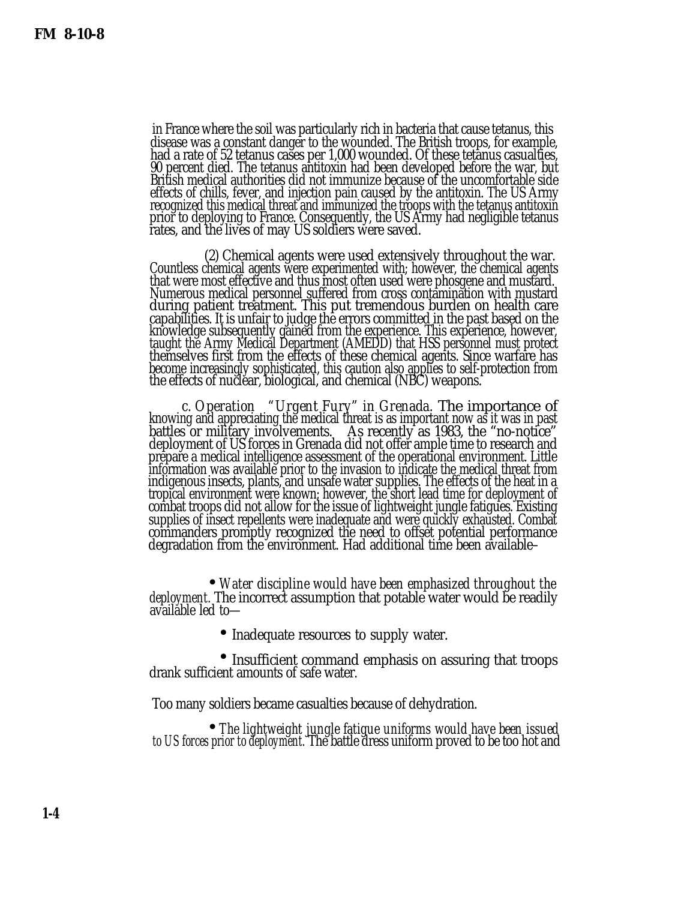in France where the soil was particularly rich in bacteria that cause tetanus, this disease was a constant danger to the wounded. The British troops, for example, had a rate of 52 tetanus cases per 1,000 wounded. Of these tetanus casualties, 90 percent died. The tetanus antitoxin had been developed before the war, but British medical authorities did not immunize because of the uncomfortable side effects of chills, fever, and injection pain caused by the antitoxin. The US Army recognized this medical threat and immunized the troops with the tetanus antitoxin prior to deploying to France. Consequently, the US Army had negligible tetanus rates, and the lives of may US soldiers were saved.

(2) Chemical agents were used extensively throughout the war. Countless chemical agents were experimented with; however, the chemical agents that were most effective and thus most often used were phosgene and mustard. Numerous medical personnel suffered from cross contamination with mustard during patient treatment. This put tremendous burden on health care capabilities. It is unfair to judge the errors committed in the past based on the knowledge subsequently gained from the experience. This experience, however, taught the Army Medical Department (AMEDD) that HSS personnel must protect themselves first from the effects of these chemical agents. Since warfare has become increasingly sophisticated, this caution also applies to self-protection from the effects of nuclear, biological, and chemical (NBC) weapons.

*c. Operation "Urgent Fury" in Grenada.* The importance of knowing and appreciating the medical threat is as important now as it was in past battles or military involvements. As recently as 1983, the "no-notice" deployment of US forces in Grenada did not offer ample time to research and prepare a medical intelligence assessment of the operational environment. Little information was available prior to the invasion to indicate the medical threat from indigenous insects, plants, and unsafe water supplies. The effects of the heat in a tropical environment were known; however, the short lead time for deployment of combat troops did not allow for the issue of lightweight jungle fatigues. Existing supplies of insect repellents were inadequate and were quickly exhausted. Combat commanders promptly recognized the need to offset potential performance degradation from the environment. Had additional time been available–

•<br>• با بار *Water discipline would have been emphasized throughout the deployment.* The incorrect assumption that potable water would be readily available led to—

 • • Inadequate resources to supply water.

 • • Insufficient command emphasis on assuring that troops drank sufficient amounts of safe water.

Too many soldiers became casualties because of dehydration.

 • *The lightweight jungle fatigue uniforms would have been issued to US forces prior to deployment.* The battle dress uniform proved to be too hot and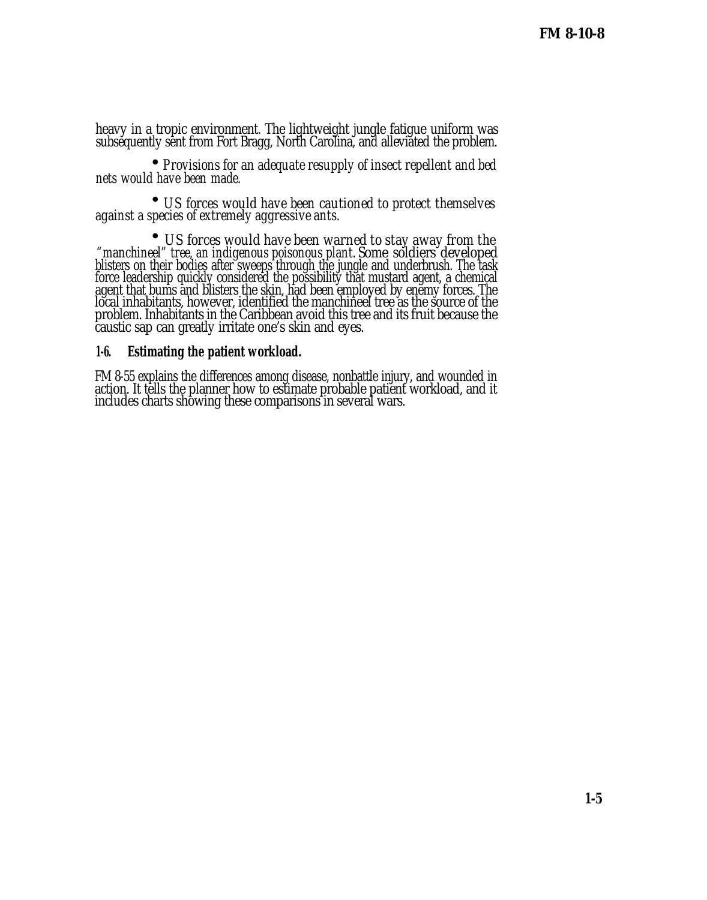heavy in a tropic environment. The lightweight jungle fatigue uniform was subsequently sent from Fort Bragg, North Carolina, and alleviated the problem.

 • *Provisions for an adequate resupply of insect repellent and bed nets would have been made.*

 • *US forces would have been cautioned to protect themselves against a species of extremely aggressive ants.*

 • *US forces would have been warned to stay away from the "manchineel" tree, an indigenous poisonous plant.* Some soldiers developed blisters on their bodies after sweeps through the jungle and underbrush. The task force leadership quickly considered the possibility that mustard agent, a chemical agent that bums and blisters the skin, had been employed by enemy forces. The local inhabitants, however, identified the manchineel tree as the source of the problem. Inhabitants in the Caribbean avoid this tree and its fruit because the caustic sap can greatly irritate one's skin and eyes.

### **1-6. Estimating the patient workload.**

FM 8-55 explains the differences among disease, nonbattle injury, and wounded in action. It tells the planner how to estimate probable patient workload, and it includes charts showing these comparisons in several wars.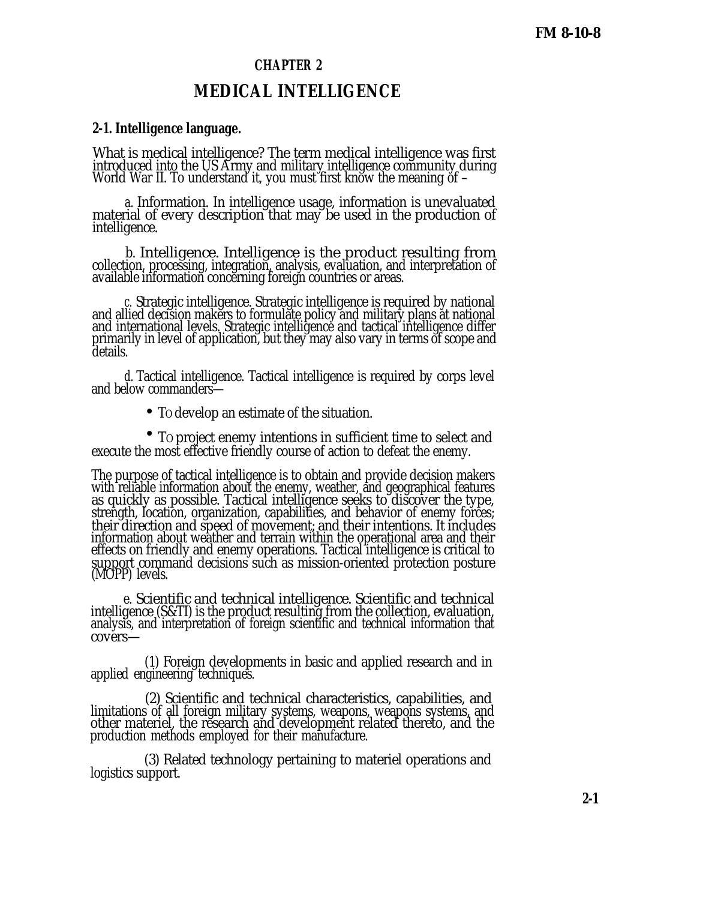## **CHAPTER 2**

## **MEDICAL INTELLIGENCE**

## **2-1. Intelligence language.**

What is medical intelligence? The term medical intelligence was first introduced into the US Army and military intelligence community during World War II. To understand it, you must first know the meaning of –

*a.* Information. In intelligence usage, information is unevaluated material of every description that may be used in the production of intelligence.

*b.* Intelligence. Intelligence is the product resulting from collection, processing, integration, analysis, evaluation, and interpretation of available information concerning foreign countries or areas.

*c.* Strategic intelligence. Strategic intelligence is required by national and allied decision makers to formulate policy and military plans at national and international levels. Strategic intelligence and tactical intelligence differ primarily in level of application, but they may also vary in terms of scope and details.

*d.* Tactical intelligence. Tactical intelligence is required by corps level and below commanders—

• TO develop an estimate of the situation.

 • TO project enemy intentions in sufficient time to select and execute the most effective friendly course of action to defeat the enemy.

The purpose of tactical intelligence is to obtain and provide decision makers with reliable information about the enemy, weather, and geographical features as quickly as possible. Tactical intelligence seeks to discover the type, strength, location, organization, capabilities, and behavior of enemy forces; their direction and speed of movement; and their intentions. It includes information about weather and terrain within the operational area and their effects on friendly and enemy operations. Tactical intelligence is critical to support command decisions such as mission-oriented protection posture (MOPP) levels.

*e.* Scientific and technical intelligence. Scientific and technical intelligence (S&TI) is the product resulting from the collection, evaluation, analysis, and interpretation of foreign scientific and technical information that covers—

(1) Foreign developments in basic and applied research and in applied engineering techniques.

(2) Scientific and technical characteristics, capabilities, and limitations of all foreign military systems, weapons, weapons systems, and other materiel, the research and development related thereto, and the production methods employed for their manufacture.

(3) Related technology pertaining to materiel operations and logistics support.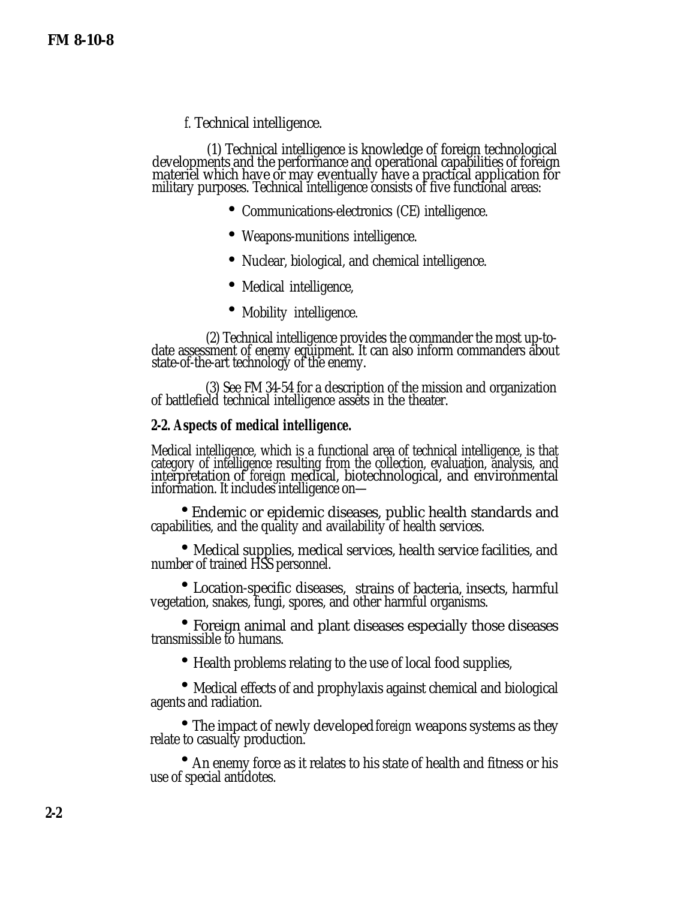*f.* Technical intelligence.

(1) Technical intelligence is knowledge of foreign technological developments and the performance and operational capabilities of foreign materiel which have or may eventually have a practical application for military purposes. Technical intelligence consists of five functional areas:

- Communications-electronics (CE) intelligence.
- Weapons-munitions intelligence.
- Nuclear, biological, and chemical intelligence.
- Medical intelligence,
- Mobility intelligence.

(2) Technical intelligence provides the commander the most up-todate assessment of enemy equipment. It can also inform commanders about state-of-the-art technology of the enemy.

(3) See FM 34-54 for a description of the mission and organization of battlefield technical intelligence assets in the theater.

### **2-2. Aspects of medical intelligence.**

Medical intelligence, which is a functional area of technical intelligence, is that category of intelligence resulting from the collection, evaluation, analysis, and interpretation of *foreign* medical, biotechnological, and environmental information. It includes intelligence on—

 • Endemic or epidemic diseases, public health standards and capabilities, and the quality and availability of health services.

 • Medical supplies, medical services, health service facilities, and number of trained HSS personnel.

 • Location-specific diseases, strains of bacteria, insects, harmful vegetation, snakes, fungi, spores, and other harmful organisms.

 • Foreign animal and plant diseases especially those diseases transmissible to humans.

• Health problems relating to the use of local food supplies,

 • Medical effects of and prophylaxis against chemical and biological agents and radiation.

 • The impact of newly developed *foreign* weapons systems as they relate to casualty production.

 • An enemy force as it relates to his state of health and fitness or his use of special antidotes.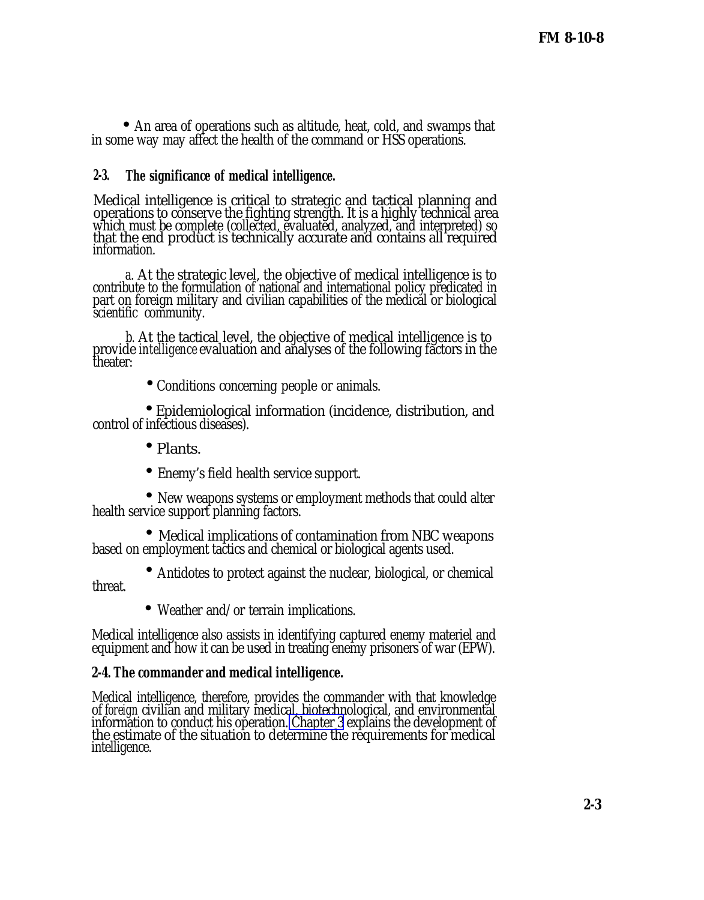• An area of operations such as altitude, heat, cold, and swamps that in some way may affect the health of the command or HSS operations.

## **2-3. The significance of medical intelligence.**

Medical intelligence is critical to strategic and tactical planning and operations to conserve the fighting strength. It is a highly technical area which must be complete (collected, evaluated, analyzed, and interpreted) so that the end product is technically accurate and contains all required information.

*a.* At the strategic level, the objective of medical intelligence is to contribute to the formulation of national and international policy predicated in part on foreign military and civilian capabilities of the medical or biological scientific community.

*b.* At the tactical level, the objective of medical intelligence is to provide *intelligence* evaluation and analyses of the following factors in the theater:

•Conditions concerning people or animals.

 $\bullet$ Epidemiological information (incidence, distribution, and control of infectious diseases).

- • Plants.
- Enemy's field health service support.

•<br>با با با با New weapons systems or employment methods that could alter health service support planning factors.

 • Medical implications of contamination from NBC weapons based on employment tactics and chemical or biological agents used.

- Antidotes to protect against the nuclear, biological, or chemical threat.
	- Weather and/or terrain implications.

Medical intelligence also assists in identifying captured enemy materiel and equipment and how it can be used in treating enemy prisoners of war (EPW).

### **2-4. The commander and medical intelligence.**

Medical intelligence, therefore, provides the commander with that knowledge of *foreign* civilian and military medical, biotechnological, and environmental information to conduct his operation. [Chapter 3](#page-0-0) explains the development of the estimate of the situation to determine the requirements for medical intelligence.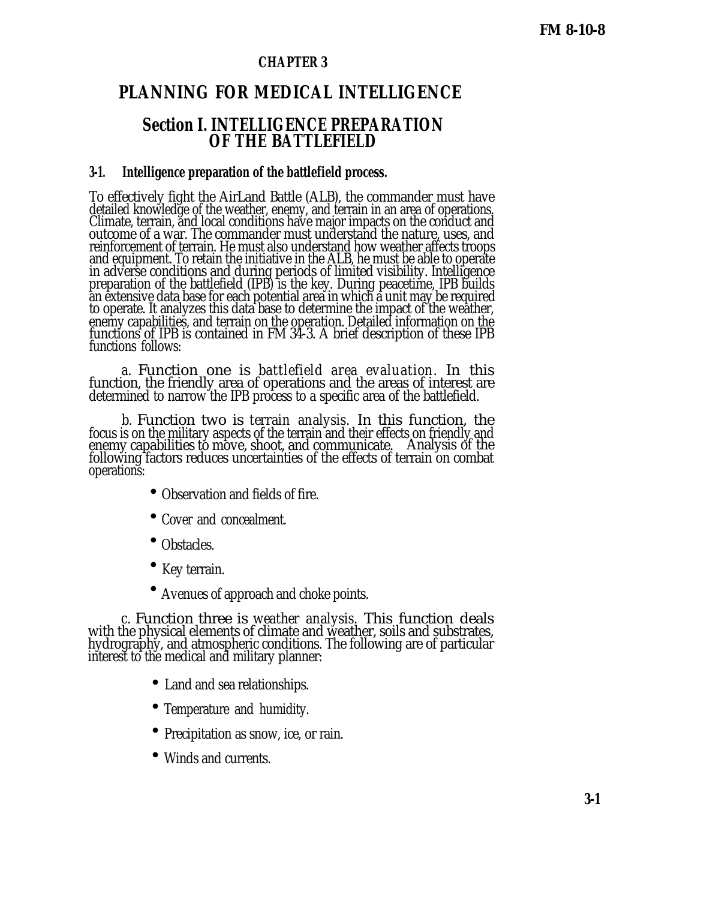## **CHAPTER 3**

## **PLANNING FOR MEDICAL INTELLIGENCE**

## **Section I. INTELLIGENCE PREPARATION OF THE BATTLEFIELD**

### **3-1. Intelligence preparation of the battlefield process.**

To effectively fight the AirLand Battle (ALB), the commander must have detailed knowledge of the weather, enemy, and terrain in an area of operations. Climate, terrain, and local conditions have major impacts on the conduct and outcome of a war. The commander must understand the nature, uses, and reinforcement of terrain. He must also understand how weather affects troops and equipment. To retain the initiative in the ALB, he must be able to operate in adverse conditions and during periods of limited visibility. Intelligence preparation of the battlefield (IPB) is the key. During peacetime, IPB builds an extensive data base for each potential area in which a unit may be required to operate. It analyzes this data base to determine the impact of the weather, enemy capabilities, and terrain on the operation. Detailed information on the functions of IPB is contained in FM 34-3. A brief description of these IPB functions follows:

*a.* Function one is *battlefield area evaluation.* In this function, the friendly area of operations and the areas of interest are determined to narrow the IPB process to a specific area of the battlefield.

*b.* Function two is *terrain analysis.* In this function, the focus is on the military aspects of the terrain and their effects on friendly and enemy capabilities to move, shoot, and communicate. Analysis of the following factors reduces uncertainties of the effects of terrain on combat operations:

- Observation and fields of fire.
- Cover and concealment.
- Obstacles.
- Key terrain.
- Avenues of approach and choke points.

*c.* Function three is *weather analysis.* This function deals with the physical elements of climate and weather, soils and substrates, hydrography, and atmospheric conditions. The following are of particular interest to the medical and military planner:

- Land and sea relationships.
- Temperature and humidity.
- Precipitation as snow, ice, or rain.
- Winds and currents.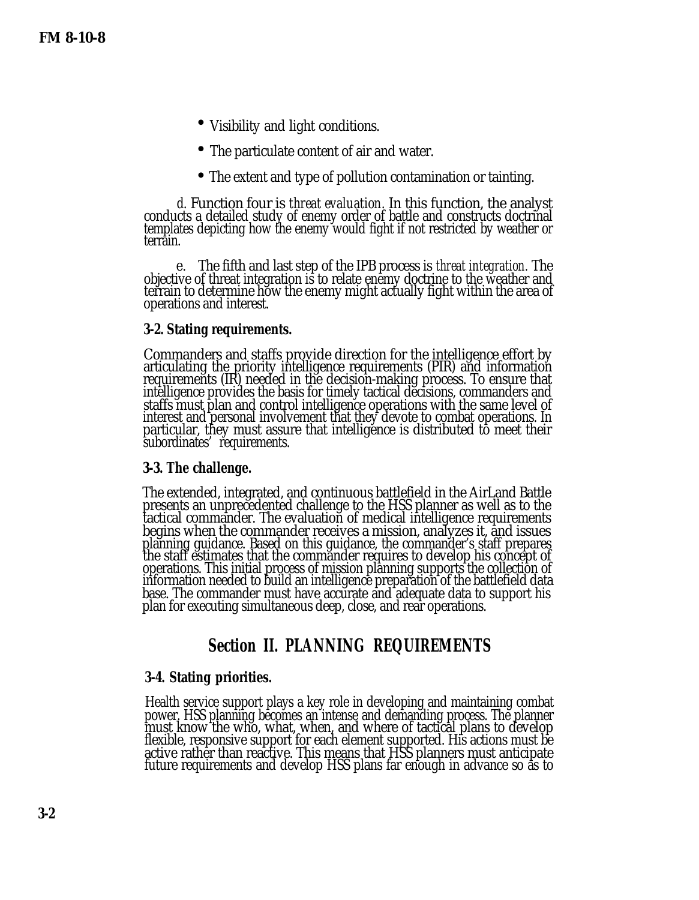- Visibility and light conditions.
- The particulate content of air and water.
- The extent and type of pollution contamination or tainting.

*d.* Function four is *threat evaluation.* In this function, the analyst conducts a detailed study of enemy order of battle and constructs doctrinal templates depicting how the enemy would fight if not restricted by weather or terrain.

*e.* The fifth and last step of the IPB process is *threat integration.* The objective of threat integration is to relate enemy doctrine to the weather and terrain to determine how the enemy might actually fight within the area of operations and interest.

#### **3-2. Stating requirements.**

Commanders and staffs provide direction for the intelligence effort by articulating the priority intelligence requirements (PIR) and information requirements (IR) needed in the decision-making process. To ensure that intelligence provides the basis for timely tactical decisions, commanders and staffs must plan and control intelligence operations with the same level of interest and personal involvement that they devote to combat operations. In particular, they must assure that intelligence is distributed to meet their subordinates' requirements.

#### **3-3. The challenge.**

The extended, integrated, and continuous battlefield in the AirLand Battle presents an unprecedented challenge to the HSS planner as well as to the tactical commander. The evaluation of medical intelligence requirements begins when the commander receives a mission, analyzes it, and issues planning guidance. Based on this guidance, the commander's staff prepares the staff estimates that the commander requires to develop his concept of operations. This initial process of mission planning supports the collection of information needed to build an intelligence preparation of the battlefield data base. The commander must have accurate and adequate data to support his plan for executing simultaneous deep, close, and rear operations.

## **Section II. PLANNING REQUIREMENTS**

#### **3-4. Stating priorities.**

Health service support plays a key role in developing and maintaining combat power. HSS planning becomes an intense and demanding process. The planner must know the who, what, when, and where of tactical plans to develop flexible, responsive support for each element supported. His actions must be active rather than reactive. This means that HSS planners must anticipate future requirements and develop HSS plans far enough in advance so as to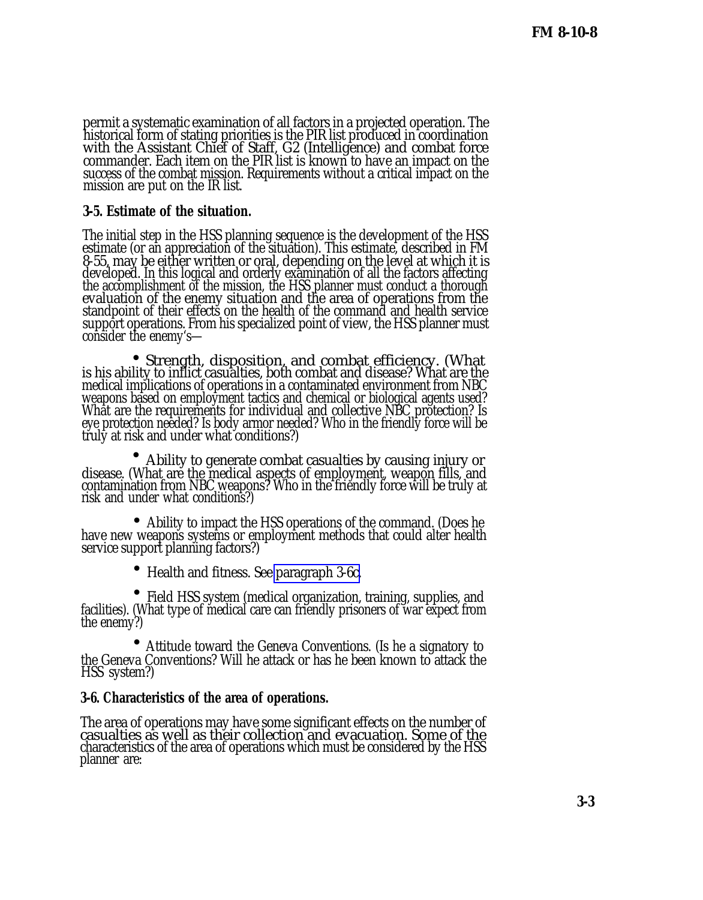permit a systematic examination of all factors in a projected operation. The historical form of stating priorities is the PIR list produced in coordination with the Assistant Chief of Staff, G2 (Intelligence) and combat force commander. Each item on the PIR list is known to have an impact on the success of the combat mission. Requirements without a critical impact on the success of the combat mission. Requirements without a critical impact on the mission are put on the IR list.

## **3-5. Estimate of the situation.**

The initial step in the HSS planning sequence is the development of the HSS estimate (or an appreciation of the situation). This estimate, described in FM 8-55, may be either written or oral, depending on the level at which it is developed. In this logical and orderly examination of all the factors affecting the accomplishment of the mission, the HSS planner must conduct a thorough evaluation of the enemy situation and the area of operations from the standpoint of their effects on the health of the command and health service support operations. From his specialized point of view, the HSS planner must consider the enemy's—

• Strength, disposition, and combat efficiency. (What is his ability to inflict casualties, both combat and disease? What are the medical implications of operations in a contaminated environment from NBC  $\,$ weapons based on employment tactics and chemical or biological agents used? What are the requirements for individual and collective NBC protection? Is eye protection needed? Is body armor needed? Who in the friendly force will be truly at risk and under what conditions?)

 • Ability to generate combat casualties by causing injury or disease. (What are the medical aspects of employment, weapon fills, and contamination from NBC weapons? Who in the friendly force will be truly at risk and under what conditions?)

 $\overline{\phantom{a}}$ Ability to impact the HSS operations of the command. (Does he have new weapons systems or employment methods that could alter health service support planning factors?)

• Health and fitness. See [paragraph 3-6c.](#page-13-0)

 • Field HSS system (medical organization, training, supplies, and facilities). (What type of medical care can friendly prisoners of war expect from the enemy?)

 • Attitude toward the Geneva Conventions. (Is he a signatory to the Geneva Conventions? Will he attack or has he been known to attack the HSS system?)

## **3-6. Characteristics of the area of operations.**

The area of operations may have some significant effects on the number of casualties as well as their collection and evacuation. Some of the characteristics of the area of operations which must be considered by the HSS planner are: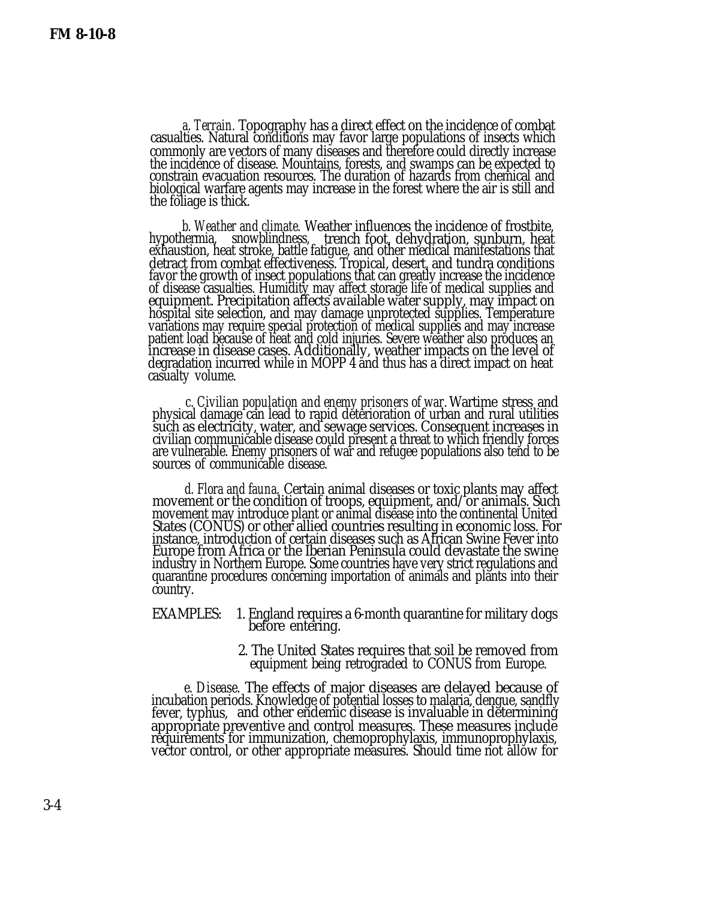<span id="page-13-0"></span>*a. Terrain.* Topography has a direct effect on the incidence of combat casualties. Natural conditions may favor large populations of insects which commonly are vectors of many diseases and therefore could directly increase the incidence of disease. Mountains, forests, and swamps can be expected to constrain evacuation resources. The duration of hazards from chemical and biological warfare agents may increase in the forest where the air is still and the foliage is thick.

*b. Weather and climate.* Weather influences the incidence of frostbite, hypothermia, snowblindness, trench foot, dehydration, sunburn, heat exhaustion, heat stroke, battle fatigue, and other medical manifestations that detract from combat effectiveness. Tropical, desert, and tundra conditions favor the growth of insect populations that can greatly increase the incidence of disease casualties. Humidity may affect storage life of medical supplies and equipment. Precipitation affects available water supply, may impact on hospital site selection, and may damage unprotected supplies. Temperature variations may require special protection of medical supplies and may increase patient load because of heat and cold injuries. Severe weather also produces an increase in disease cases. Additionally, weather impacts on the level of degradation incurred while in MOPP 4 and thus has a direct impact on heat casualty volume.

*c. Civilian population and enemy prisoners of war.* Wartime stress and physical damage can lead to rapid deterioration of urban and rural utilities such as electricity, water, and sewage services. Consequent increases in civilian communicable disease could present a threat to which friendly forces are vulnerable. Enemy prisoners of war and refugee populations also tend to be sources of communicable disease.

*d. Flora and fauna.* Certain animal diseases or toxic plants may affect movement or the condition of troops, equipment, and/or animals. Such movement may introduce plant or animal disease into the continental United States (CONUS) or other allied countries resulting in economic loss. For instance, introduction of certain diseases such as African Swine Fever into Europe from Africa or the Iberian Peninsula could devastate the swine industry in Northern Europe. Some countries have very strict regulations and quarantine procedures concerning importation of animals and plants into their country.

- EXAMPLES: 1. England requires a 6-month quarantine for military dogs before entering.
	- 2. The United States requires that soil be removed from equipment being retrograded to CONUS from Europe.

*e. Disease.* The effects of major diseases are delayed because of incubation periods. Knowledge of potential losses to malaria, dengue, sandfly fever, typhus, and other endemic disease is invaluable in determining appropriate preventive and control measures. These measures include requirements for immunization, chemoprophylaxis, immunoprophylaxis, vector control, or other appropriate measures. Should time not allow for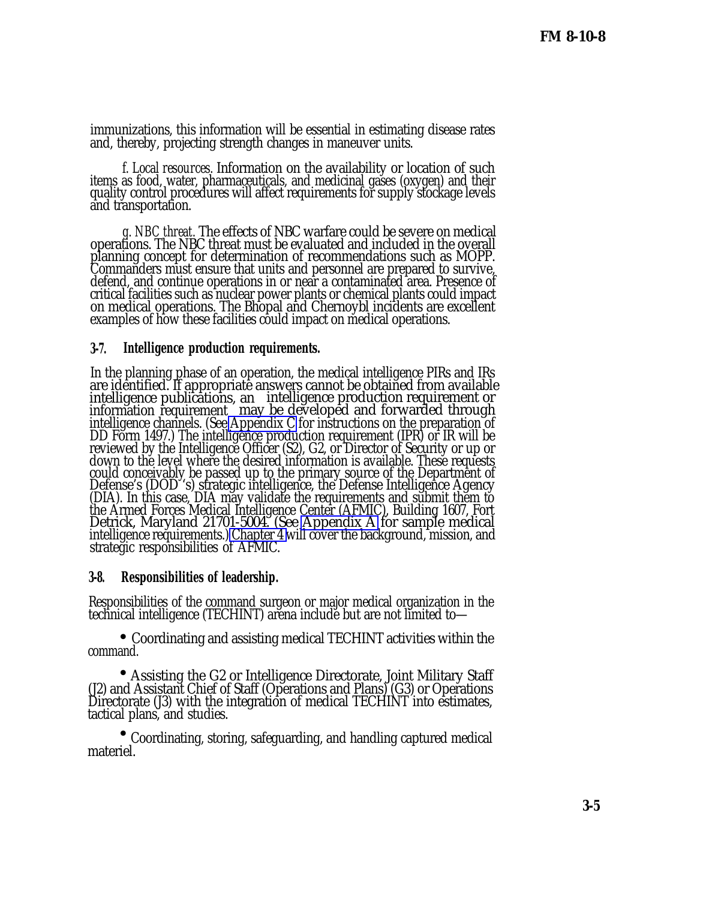immunizations, this information will be essential in estimating disease rates and, thereby, projecting strength changes in maneuver units.

*f. Local resources.* Information on the availability or location of such items as food, water, pharmaceuticals, and medicinal gases (oxygen) and their quality control procedures will affect requirements for supply stockage levels and transportation.

*g. NBC threat.* The effects of NBC warfare could be severe on medical operations. The NBC threat must be evaluated and included in the overall planning concept for determination of recommendations such as MOPP. Commanders must ensure that units and personnel are prepared to survive, defend, and continue operations in or near a contaminated area. Presence of critical facilities such as nuclear power plants or chemical plants could impact on medical operations. The Bhopal and Chernoybl incidents are excellent examples of how these facilities could impact on medical operations.

### **3-7. Intelligence production requirements.**

In the planning phase of an operation, the medical intelligence PIRs and IRs are identified. If appropriate answers cannot be obtained from available intelligence publications, an intelligence production requirement or information requirement may be developed and forwarded through intelligence channels. (See [Appendix C](#page-0-0) for instructions on the preparation of DD Form 1497.) The intelligence production requirement (IPR) or IR will be reviewed by the Intelligence Officer (S2), G2, or Director of Security or up or down to the level where the desired information is available. These requests could conceivably be passed up to the primary source of the Department of Defense's (DOD 's) strategic intelligence, the Defense Intelligence Agency (DIA). In this case, DIA may validate the requirements and submit them to the Armed Forces Medical Intelligence Center (AFMIC), Building 1607, Fort Detrick, Maryland 21701-5004. (See [Appendix A](#page-0-0) for sample medical intelligence requirements.) [Chapter 4 w](#page-0-0)ill cover the background, mission, and strategic responsibilities of AFMIC.

### **3-8. Responsibilities of leadership.**

Responsibilities of the command surgeon or major medical organization in the technical intelligence (TECHINT) arena include but are not limited to—

 • Coordinating and assisting medical TECHINT activities within the command.

 $\bullet$ Assisting the G2 or Intelligence Directorate, Joint Military Staff (J2) and Assistant Chief of Staff (Operations and Plans) (G3) or Operations Directorate (J3) with the integration of medical TECHINT into estimates, tactical plans, and studies.

 • Coordinating, storing, safeguarding, and handling captured medical materiel.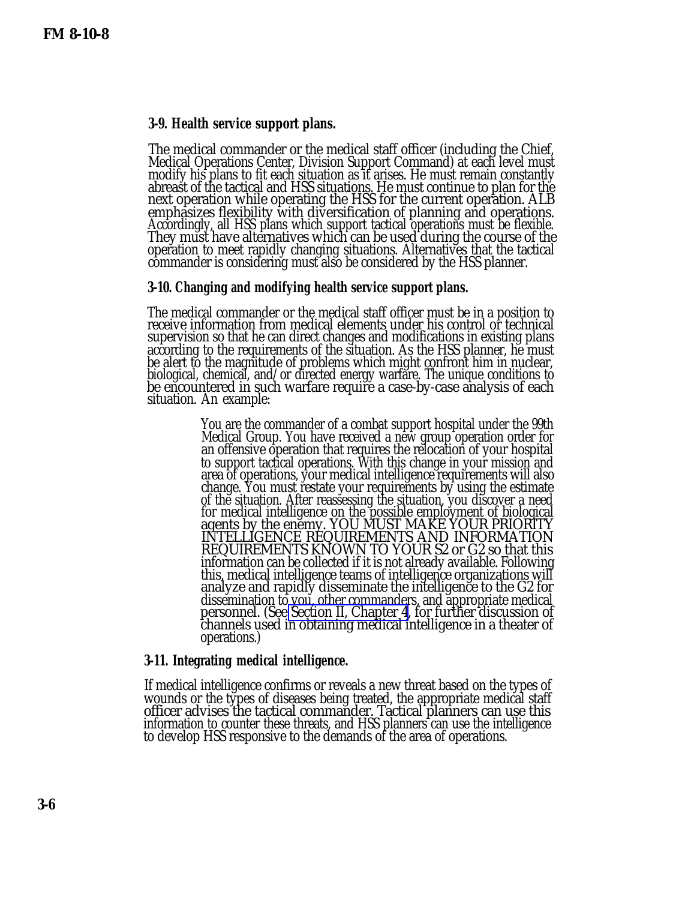## **3-9. Health service support plans.**

The medical commander or the medical staff officer (including the Chief, Medical Operations Center, Division Support Command) at each level must modify his plans to fit each situation as it arises. He must remain constantly abreast of the tactical and HSS situations. He must continue to plan for the next operation while operating the HSS for the current operation. ALB emphasizes flexibility with diversification of planning and operations. Accordingly, all HSS plans which support tactical operations must be flexible. They must have alternatives which can be used during the course of the operation to meet rapidly changing situations. Alternatives that the tactical commander is considering must also be considered by the HSS planner.

#### **3-10. Changing and modifying health service support plans.**

The medical commander or the medical staff officer must be in a position to receive information from medical elements under his control or technical supervision so that he can direct changes and modifications in existing plans according to the requirements of the situation. As the HSS planner, he must be alert to the magnitude of problems which might confront him in nuclear, biological, chemical, and/or directed energy warfare. The unique conditions to be encountered in such warfare require a case-by-case analysis of each situation. An example:

> You are the commander of a combat support hospital under the 99th Medical Group. You have received a new group operation order for an offensive operation that requires the relocation of your hospital to support tactical operations. With this change in your mission and area of operations, your medical intelligence requirements will also change. You must restate your requirements by using the estimate of the situation. After reassessing the situation, you discover a need for medical intelligence on the possible employment of biological agents by the enemy. YOU MUST MAKE YOUR PRIORITY INTELLIGENCE REQUIREMENTS AND INFORMATION REQUIREMENTS KNOWN TO YOUR S2 or G2 so that this information can be collected if it is not already available. Following this, medical intelligence teams of intelligence organizations will analyze and rapidly disseminate the intelligence to the G2 for dissemination to you, other commanders, and appropriate medical personnel. (See [Section II, Chapter 4,](#page-3-0) for further discussion of channels used in obtaining medical intelligence in a theater of operations.)

#### **3-11. Integrating medical intelligence.**

If medical intelligence confirms or reveals a new threat based on the types of wounds or the types of diseases being treated, the appropriate medical staff officer advises the tactical commander. Tactical planners can use this information to counter these threats, and HSS planners can use the intelligence to develop HSS responsive to the demands of the area of operations.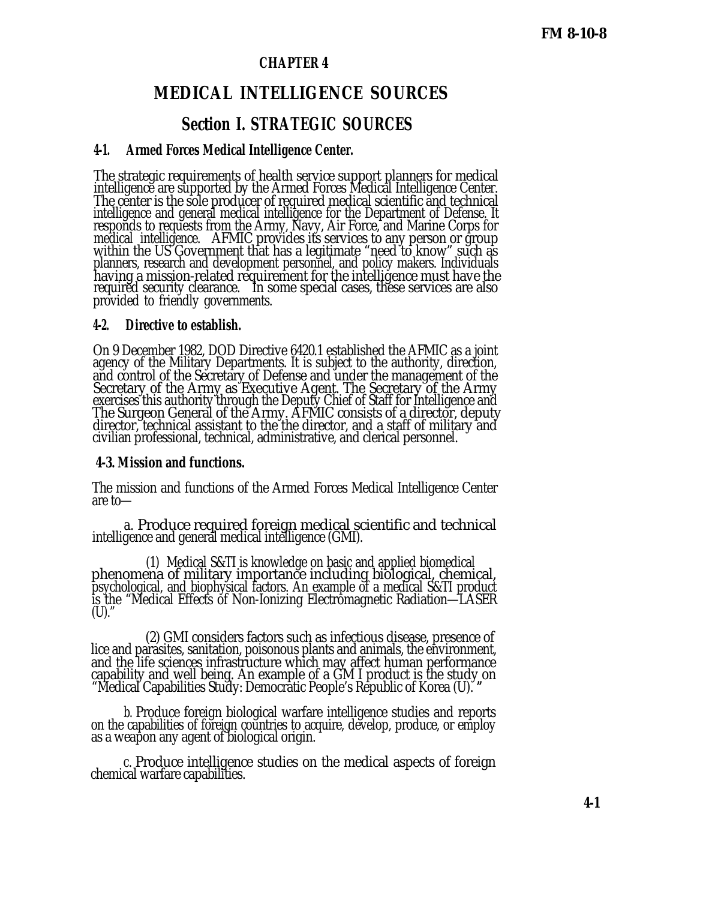## **CHAPTER 4**

## **MEDICAL INTELLIGENCE SOURCES**

## **Section I. STRATEGIC SOURCES**

#### **4-1. Armed Forces Medical Intelligence Center.**

The strategic requirements of health service support planners for medical intelligence are supported by the Armed Forces Medical Intelligence Center. The center is the sole producer of required medical scientific and technical intelligence and general medical intelligence for the Department of Defense. It responds to requests from the Army, Navy, Air Force, and Marine Corps for medical intelligence. AFMIC provides its services to any person or group within the US Government that has a legitimate "need to know" such as planners, research and development personnel, and policy makers. Individuals having a mission-related requirement for the intelligence must have the required security clearance. In some special cases, these services are also provided to friendly governments.

#### **4-2. Directive to establish.**

On 9 December 1982, DOD Directive 6420.1 established the AFMIC as a joint agency of the Military Departments. It is subject to the authority, direction, and control of the Secretary of Defense and under the management of the Secretary of the Army as Executive Agent. The Secretary of the Army exercises this authority through the Deputy Chief of Staff for Intelligence and The Surgeon General of the Army. AFMIC consists of a director, deputy director, technical assistant to the the director, and a staff of military and civilian professional, technical, administrative, and clerical personnel.

#### **4-3. Mission and functions.**

The mission and functions of the Armed Forces Medical Intelligence Center are to—

*a.* Produce required foreign medical scientific and technical intelligence and general medical intelligence (GMI).

(1) Medical S&TI is knowledge on basic and applied biomedical phenomena of military importance including biological, chemical, psychological, and biophysical factors. An example of a medical S&TI product is the "Medical Effects of Non-Ionizing Electromagnetic Radiation—LASER  $(U).^{\circ}$ 

(2) GMI considers factors such as infectious disease, presence of lice and parasites, sanitation, poisonous plants and animals, the environment, and the life sciences infrastructure which may affect human performance capability and well being. An example of a GM I product is the study on "Medical Capabilities Study: Democratic People's Republic of Korea (U). **"**

*b.* Produce foreign biological warfare intelligence studies and reports on the capabilities of foreign countries to acquire, develop, produce, or employ as a weapon any agent of biological origin.

*c.* Produce intelligence studies on the medical aspects of foreign chemical warfare capabilities.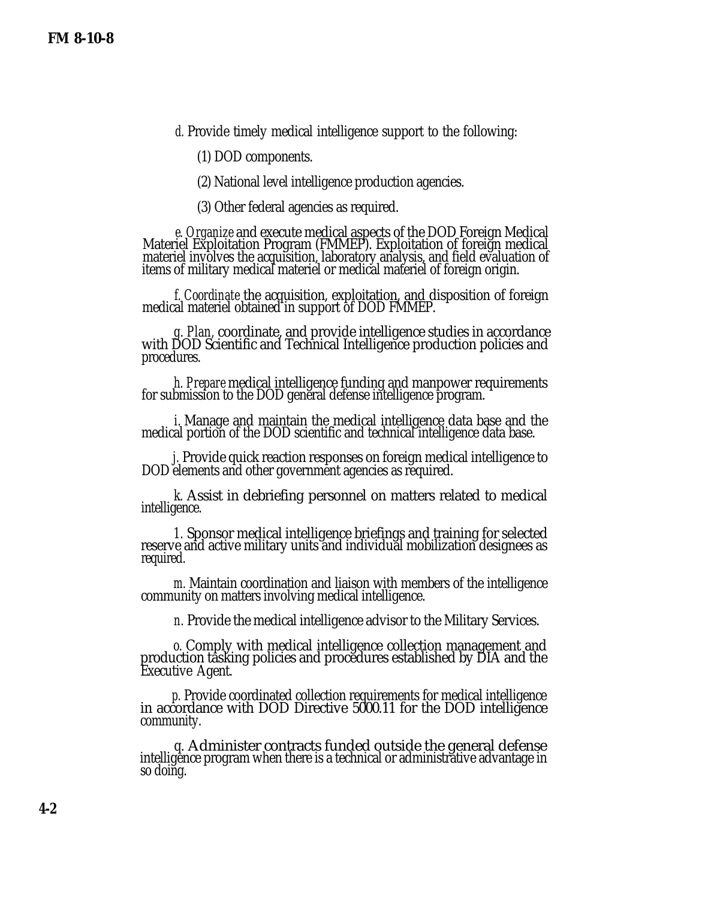*d.* Provide timely medical intelligence support to the following:

(1) DOD components.

(2) National level intelligence production agencies.

(3) Other federal agencies as required.

*e. Organize* and execute medical aspects of the DOD Foreign Medical Materiel Exploitation Program (FMMEP). Exploitation of foreign medical materiel involves the acquisition, laboratory analysis, and field evaluation of items of military medical materiel or medical materiel of foreign origin.

*f. Coordinate* the acquisition, exploitation, and disposition of foreign medical materiel obtained in support of DOD FMMEP.

*g. Plan,* coordinate, and provide intelligence studies in accordance with DOD Scientific and Technical Intelligence production policies and procedures.

*h. Prepare* medical intelligence funding and manpower requirements for submission to the DOD general defense intelligence program.

*i.* Manage and maintain the medical intelligence data base and the medical portion of the DOD scientific and technical intelligence data base.

*j.* Provide quick reaction responses on foreign medical intelligence to DOD elements and other government agencies as required.

*k.* Assist in debriefing personnel on matters related to medical intelligence.

*1.* Sponsor medical intelligence briefings and training for selected reserve and active military units and individual mobilization designees as required.

*m.* Maintain coordination and liaison with members of the intelligence community on matters involving medical intelligence.

*n.* Provide the medical intelligence advisor to the Military Services.

*o.* Comply with medical intelligence collection management and production tasking policies and procedures established by DIA and the Executive Agent.

*p.* Provide coordinated collection requirements for medical intelligence in accordance with DOD Directive 5000.11 for the DOD intelligence community.

*q.* Administer contracts funded outside the general defense intelligence program when there is a technical or administrative advantage in so doing.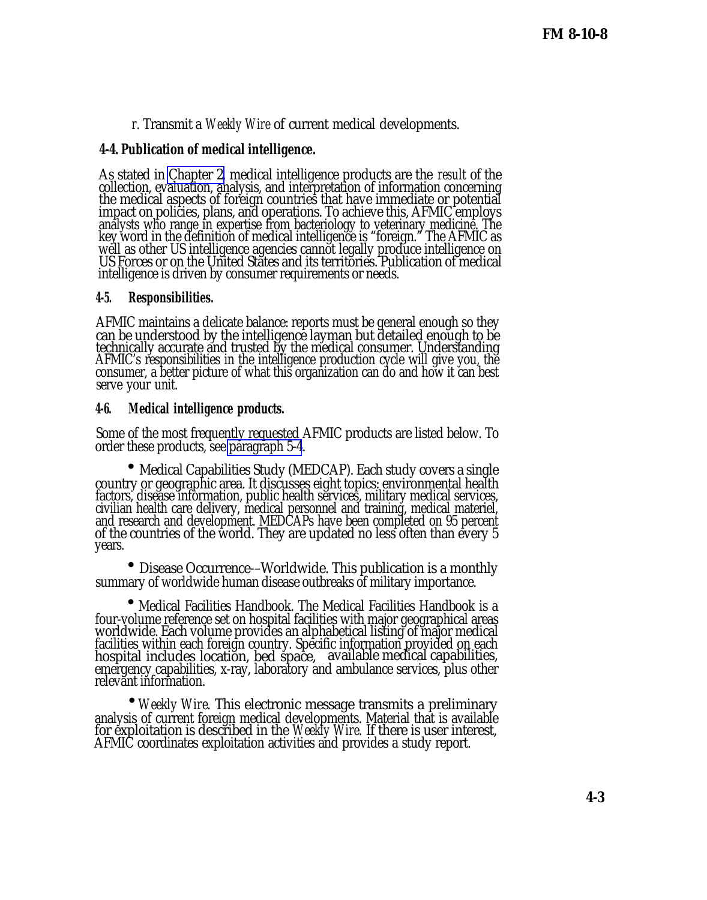*r.* Transmit a *Weekly Wire* of current medical developments.

## **4-4. Publication of medical intelligence.**

As stated in [Chapter 2,](#page-0-0) medical intelligence products are the *result* of the collection, evaluation, analysis, and interpretation of information concerning the medical aspects of foreign countries that have immediate or potential impact on policies, plans, and operations. To achieve this, AFMIC employs analysts who range in expertise from bacteriology to veterinary medicine. The key word in the definition of medical intelligence is "foreign." The AFMIC as well as other US intelligence agencies cannot legally produce intelligence on US Forces or on the United States and its territories. Publication of medical intelligence is driven by consumer requirements or needs.

### **4-5. Responsibilities.**

AFMIC maintains a delicate balance: reports must be general enough so they can be understood by the intelligence layman but detailed enough to be technically accurate and trusted by the medical consumer. Understanding AFMIC's responsibilities in the intelligence production cycle will give you, the consumer, a better picture of what this organization can do and how it can best serve your unit.

#### **4-6. Medical intelligence products.**

Some of the most frequently requested AFMIC products are listed below. To order these products, see [paragraph 5-4](#page-1-0).

 • Medical Capabilities Study (MEDCAP). Each study covers a single country or geographic area. It discusses eight topics: environmental health factors, disease information, public health services, military medical services, civilian health care delivery, medical personnel and training, medical materiel, and research and development. MEDCAPs have been completed on 95 percent of the countries of the world. They are updated no less often than every 5 years.

 • Disease Occurrence-–Worldwide. This publication is a monthly summary of worldwide human disease outbreaks of military importance.

• Medical Facilities Handbook. The Medical Facilities Handbook is a four-volume reference set on hospital facilities with major geographical areas worldwide. Each volume provides an alphabetical listing of major medical facilities within each foreign country. Specific information provided on each hospital includes location, bed space, available medical capabilities, emergency capabilities, x-ray, laboratory and ambulance services, plus other relevant information.

 •*Weekly Wire.* This electronic message transmits a preliminary analysis of current foreign medical developments. Material that is available for exploitation is described in the *Weekly Wire.* If there is user interest, AFMIC coordinates exploitation activities and provides a study report.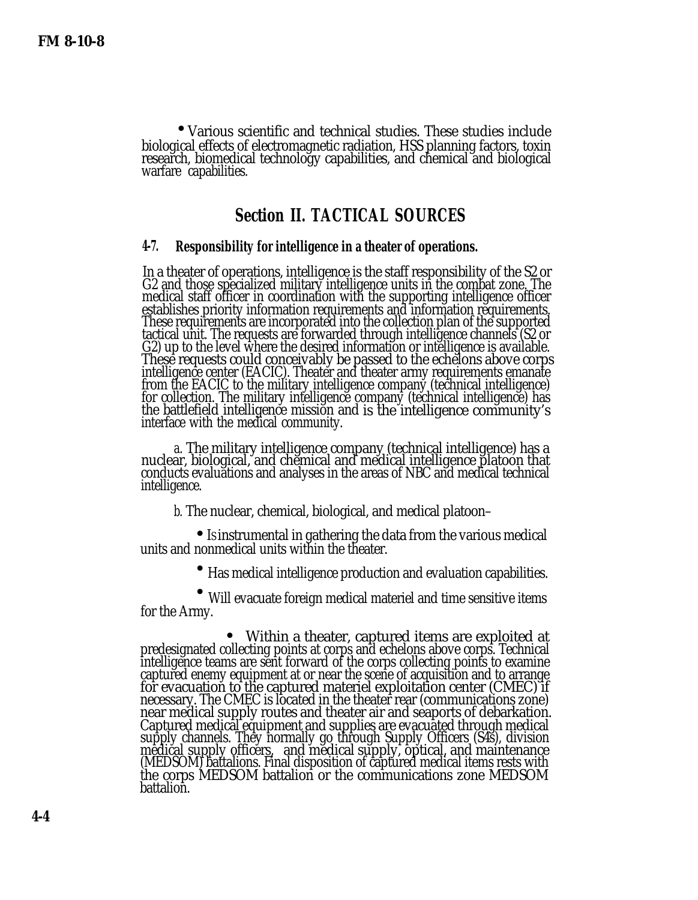•Various scientific and technical studies. These studies include biological effects of electromagnetic radiation, HSS planning factors, toxin research, biomedical technology capabilities, and chemical and biological warfare capabilities.

## **Section II. TACTICAL SOURCES**

#### **4-7. Responsibility for intelligence in a theater of operations.**

In a theater of operations, intelligence is the staff responsibility of the S2 or G2 and those specialized military intelligence units in the combat zone. The medical staff officer in coordination with the supporting intelligence officer establishes priority information requirements and information requirements. These requirements are incorporated into the collection plan of the supported tactical unit. The requests are forwarded through intelligence channels (S2 or G2) up to the level where the desired information or intelligence is available. These requests could conceivably be passed to the echelons above corps intelligence center (EACIC). Theater and theater army requirements emanate from the EACIC to the military intelligence company (technical intelligence) for collection. The military intelligence company (technical intelligence) has the battlefield intelligence mission and is the intelligence community's interface with the medical community.

*a.* The military intelligence company (technical intelligence) has a nuclear, biological, and chemical and medical intelligence platoon that conducts evaluations and analyses in the areas of NBC and medical technical intelligence.

*b.* The nuclear, chemical, biological, and medical platoon–

 $\mathbf{r} = \begin{pmatrix} 1 \\ 1 \end{pmatrix}$ • Is instrumental in gathering the data from the various medical units and nonmedical units within the theater.

 • Has medical intelligence production and evaluation capabilities.

 • Will evacuate foreign medical materiel and time sensitive items for the Army.

Within a theater, captured items are exploited at predesignated collecting points at corps and echelons above corps. Technical intelligence teams are sent forward of the corps collecting points to examine captured enemy equipment at or near the scene of acquisition and to arrange for evacuation to the captured materiel exploitation center (CMEC) if necessary. The CMEC is located in the theater rear (communications zone) near medical supply routes and theater air and seaports of debarkation. Captured medical equipment and supplies are evacuated through medical supply channels. They normally go through Supply Officers (S4s), division medical supply officers, and medical supply, optical, and maintenance (MEDSOM) battalions. Final disposition of captured medical items rests with the corps MEDSOM battalion or the communications zone MEDSOM battalion.  $\bullet$ <br> $\overline{1}$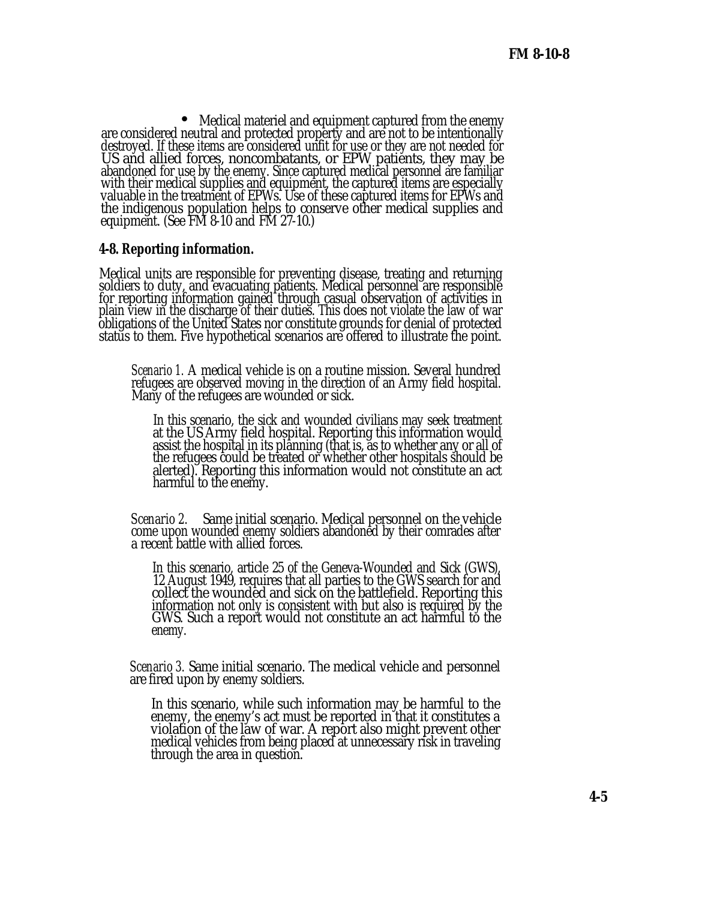Medical materiel and equipment captured from the enemy • are considered neutral and protected property and are not to be intentionally destroyed. If these items are considered unfit for use or they are not needed for US and allied forces, noncombatants, or EPW patients, they may be abandoned for use by the enemy. Since captured medical personnel are familiar with their medical supplies and equipment, the captured items are especially valuable in the treatment of EPWs. Use of these captured items for EPWs and the indigenous population helps to conserve other medical supplies and equipment. (See FM 8-10 and FM 27-10.)

### **4-8. Reporting information.**

Medical units are responsible for preventing disease, treating and returning soldiers to duty, and evacuating patients. Medical personnel are responsible for reporting information gained through casual observation of activities in plain view in the discharge of their duties. This does not violate the law of war obligations of the United States nor constitute grounds for denial of protected status to them. Five hypothetical scenarios are offered to illustrate the point.

*Scenario 1.* A medical vehicle is on a routine mission. Several hundred refugees are observed moving in the direction of an Army field hospital. Many of the refugees are wounded or sick.

In this scenario, the sick and wounded civilians may seek treatment at the US Army field hospital. Reporting this information would assist the hospital in its planning (that is, as to whether any or all of the refugees could be treated or whether other hospitals should be alerted). Reporting this information would not constitute an act harmful to the enemy.

*Scenario 2.* Same initial scenario. Medical personnel on the vehicle come upon wounded enemy soldiers abandoned by their comrades after a recent battle with allied forces.

In this scenario, article 25 of the Geneva-Wounded and Sick (GWS), 12 August 1949, requires that all parties to the GWS search for and collect the wounded and sick on the battlefield. Reporting this information not only is consistent with but also is required by the GWS. Such a report would not constitute an act harmful to the enemy.

*Scenario 3.* Same initial scenario. The medical vehicle and personnel are fired upon by enemy soldiers.

In this scenario, while such information may be harmful to the enemy, the enemy's act must be reported in that it constitutes a violation of the law of war. A report also might prevent other medical vehicles from being placed at unnecessary risk in traveling through the area in question.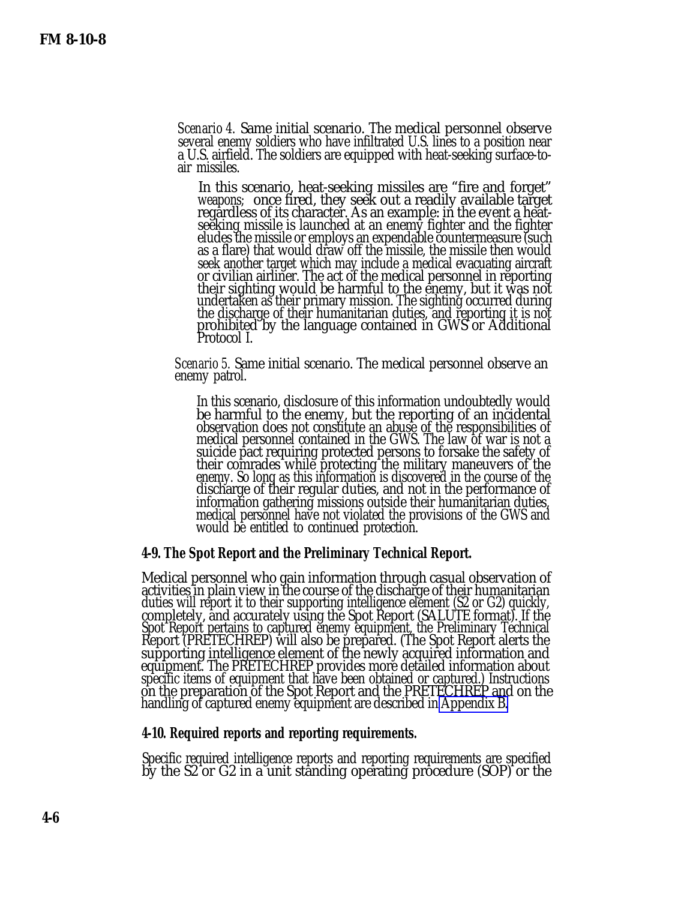*Scenario 4.* Same initial scenario. The medical personnel observe several enemy soldiers who have infiltrated U.S. lines to a position near a U.S. airfield. The soldiers are equipped with heat-seeking surface-toair missiles.

In this scenario, heat-seeking missiles are "fire and forget" weapons; once fired, they seek out a readily available target regardless of its character. As an example: in the event a heatseeking missile is launched at an enemy fighter and the fighter eludes the missile or employs an expendable countermeasure (such as a flare) that would draw off the missile, the missile then would seek another target which may include a medical evacuating aircraft or civilian airliner. The act of the medical personnel in reporting their sighting would be harmful to the enemy, but it was not undertaken as their primary mission. The sighting occurred during the discharge of their humanitarian duties, and reporting it is not prohibited by the language contained in GWS or Additional Protocol I.

*Scenario 5.* Same initial scenario. The medical personnel observe an enemy patrol.

In this scenario, disclosure of this information undoubtedly would be harmful to the enemy, but the reporting of an incidental observation does not constitute an abuse of the responsibilities of medical personnel contained in the GWS. The law of war is not a suicide pact requiring protected persons to forsake the safety of their comrades while protecting the military maneuvers of the enemy. So long as this information is discovered in the course of the discharge of their regular duties, and not in the performance of information gathering missions outside their humanitarian duties, medical personnel have not violated the provisions of the GWS and would be entitled to continued protection.

#### **4-9. The Spot Report and the Preliminary Technical Report.**

Medical personnel who gain information through casual observation of activities in plain view in the course of the discharge of their humanitarian duties will report it to their supporting intelligence element (S2 or G2) quickly, completely, and accurately using the Spot Report (SALUTE format). If the Spot Report pertains to captured enemy equipment, the Preliminary Technical Report (PRETECHREP) will also be prepared. (The Spot Report alerts the supporting intelligence element of the newly acquired information and equipment. The PRETECHREP provides more detailed information about specific items of equipment that have been obtained or captured.) Instructions on the preparation of the Spot Report and the PRETECHREP and on the handling of captured enemy equipment are described in [Appendix B.](#page-0-0)

#### **4-10. Required reports and reporting requirements.**

Specific required intelligence reports and reporting requirements are specified by the S2 or G2 in a unit standing operating procedure (SOP) or the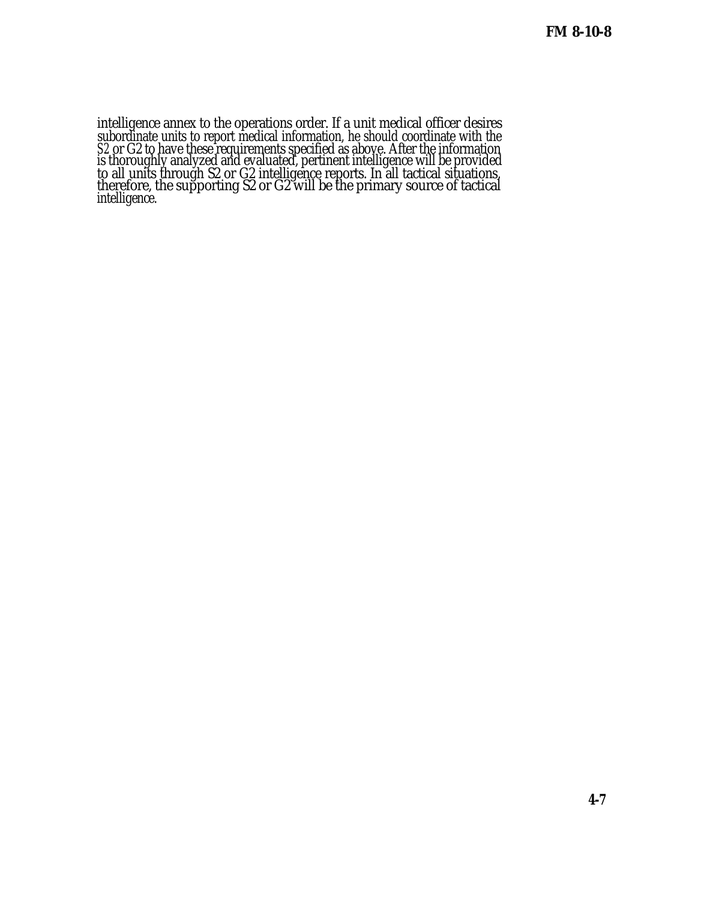intelligence annex to the operations order. If a unit medical officer desires subordinate units to report medical information, he should coordinate with the *S2* or G2 to have these requirements specified as above. After the information is thoroughly analyzed and evaluated, pertinent intelligence will be provided to all units through S2 or G2 intelligence reports. In all tactical situations, therefore, the supporting S2 or G2 will be the primary source of tactical intelligence.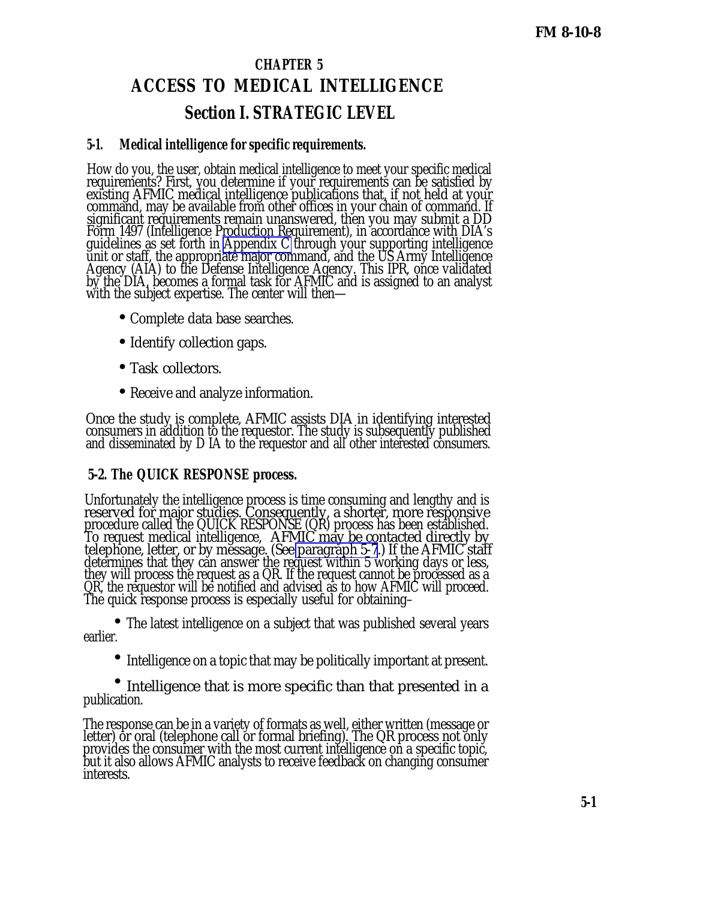# **CHAPTER 5 ACCESS TO MEDICAL INTELLIGENCE Section I. STRATEGIC LEVEL**

## **5-1. Medical intelligence for specific requirements.**

How do you, the user, obtain medical intelligence to meet your specific medical requirements? First, you determine if your requirements can be satisfied by existing AFMIC medical intelligence publications that, if not held at your command, may be available from other offices in your chain of command. If significant requirements remain unanswered, then you may submit a DD Form 1497 (Intelligence Production Requirement), in accordance with DIA's guidelines as set forth in [Appendix C](#page-0-0) through your supporting intelligence unit or staff, the appropriate major command, and the US Army Intelligence Agency (AIA) to the Defense Intelligence Agency. This IPR, once validated by the DIA, becomes a formal task for AFMIC and is assigned to an analyst with the subject expertise. The center will then—

- Complete data base searches.
- Identify collection gaps.
- Task collectors.
- Receive and analyze information.

Once the study is complete, AFMIC assists DIA in identifying interested consumers in addition to the requestor. The study is subsequently published and disseminated by D IA to the requestor and all other interested consumers.

## **5-2. The QUICK RESPONSE process.**

Unfortunately the intelligence process is time consuming and lengthy and is reserved for major studies. Consequently, a shorter, more responsive procedure called the QUICK RESPONSE (QR) process has been established. To request medical intelligence, AFMIC may be contacted directly by telephone, letter, or by message. (See [paragraph 5-7](#page-24-0).) If the AFMIC staff determines that they can answer the request within 5 working days or less, they will process the request as a QR. If the request cannot be processed as a QR, the requestor will be notified and advised as to how AFMIC will proceed. The quick response process is especially useful for obtaining–

• The latest intelligence on a subject that was published several years earlier.

• Intelligence on a topic that may be politically important at present.

• Intelligence that is more specific than that presented in a publication.

The response can be in a variety of formats as well, either written (message or letter) or oral (telephone call or formal briefing). The QR process not only provides the consumer with the most current intelligence on a specific topic, but it also allows AFMIC analysts to receive feedback on changing consumer interests.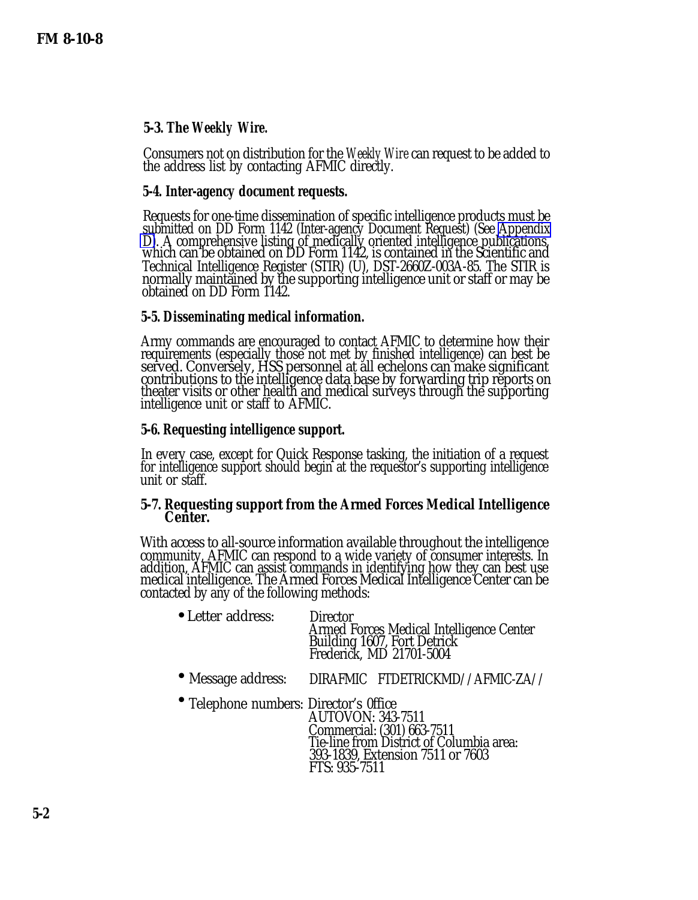## <span id="page-24-0"></span>**5-3. The** *Weekly Wire.*

Consumers not on distribution for the *Weekly Wire* can request to be added to the address list by contacting AFMIC directly.

## **5-4. Inter-agency document requests.**

Requests for one-time dissemination of specific intelligence products must be submitted on DD Form 1142 (Inter-agency Document Request) (See [Appendix](#page-0-0) [D\)](#page-0-0). A comprehensive listing of medically oriented intelligence publications, which can be obtained on DD Form 1142, is contained in the Scientific and Technical Intelligence Register (STIR) (U), DST-2660Z-003A-85. The STIR is normally maintained by the supporting intelligence unit or staff or may be obtained on DD Form 1142.

## **5-5. Disseminating medical information.**

Army commands are encouraged to contact AFMIC to determine how their requirements (especially those not met by finished intelligence) can best be served. Conversely, HSS personnel at all echelons can make significant contributions to the intelligence data base by forwarding trip reports on theater visits or other health and medical surveys through the supporting intelligence unit or staff to AFMIC.

## **5-6. Requesting intelligence support.**

In every case, except for Quick Response tasking, the initiation of a request for intelligence support should begin at the requestor's supporting intelligence unit or staff.

#### **5-7. Requesting support from the Armed Forces Medical Intelligence Center.**

With access to all-source information available throughout the intelligence community, AFMIC can respond to a wide variety of consumer interests. In addition, AFMIC can assist commands in identifying how they can best use medical intelligence. The Armed Forces Medical Intelligence Center can be contacted by any of the following methods:

| • Letter address: | Director<br>Armed Forces Medical Intelligence Center<br>Building 1607, Fort Detrick<br>Frederick, MD 21701-5004 |
|-------------------|-----------------------------------------------------------------------------------------------------------------|
|                   |                                                                                                                 |

• Message address: DIRAFMIC FTDETRICKMD//AFMIC-ZA//

 • Telephone numbers: Director's 0ffice AUTOVON: 343-7511 Commercial: (301) 663-7511 Tie-line from District of Columbia area: 393-1839, Extension 7511 or 7603 FTS: 935-7511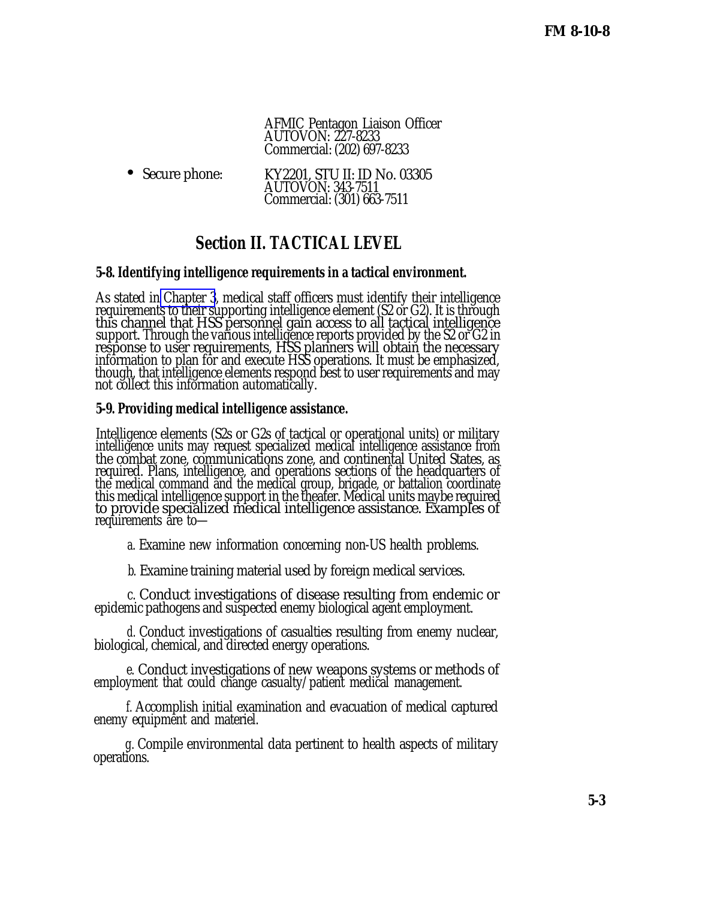AFMIC Pentagon Liaison Officer AUTOVON: 227-8233 Commercial: (202) 697-8233

• Secure phone: KY2201, STU II: ID No. 03305 AUTOVON: 343-7511 Commercial: (301) 663-7511

# **Section II. TACTICAL LEVEL**

## **5-8. Identifying intelligence requirements in a tactical environment.**

As stated in [Chapter 3](#page-0-0), medical staff officers must identify their intelligence requirements to their supporting intelligence element (S2 or G2). It is through this channel that HSS personnel gain access to all tactical intelligence support. Through the various intelligence reports provided by the S2 or G2 in response to user requirements, HSS planners will obtain the necessary information to plan for and execute HSS operations. It must be emphasized, though, that intelligence elements respond best to user requirements and may not collect this information automatically.

## **5-9. Providing medical intelligence assistance.**

Intelligence elements (S2s or G2s of tactical or operational units) or military intelligence units may request specialized medical intelligence assistance from the combat zone, communications zone, and continental United States, as required. Plans, intelligence, and operations sections of the headquarters of the medical command and the medical group, brigade, or battalion coordinate this medical intelligence support in the theater. Medical units maybe required to provide specialized medical intelligence assistance. Examples of requirements are to—

*a.* Examine new information concerning non-US health problems.

*b.* Examine training material used by foreign medical services.

*c.* Conduct investigations of disease resulting from endemic or epidemic pathogens and suspected enemy biological agent employment.

*d.* Conduct investigations of casualties resulting from enemy nuclear, biological, chemical, and directed energy operations.

*e.* Conduct investigations of new weapons systems or methods of employment that could change casualty/patient medical management.

*f.* Accomplish initial examination and evacuation of medical captured enemy equipment and materiel.

*g.* Compile environmental data pertinent to health aspects of military operations.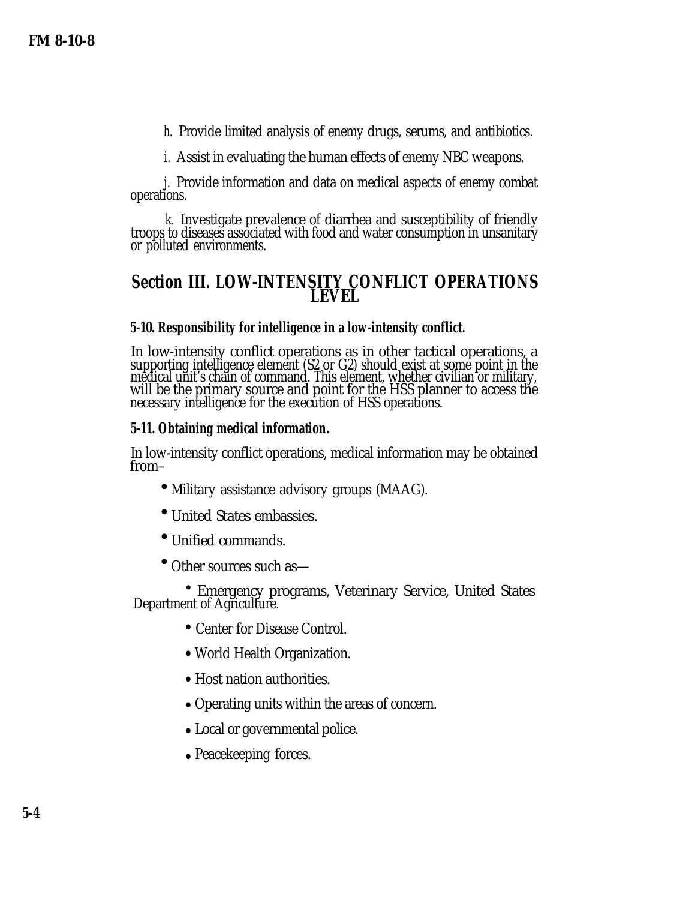*h.* Provide limited analysis of enemy drugs, serums, and antibiotics.

*i.* Assist in evaluating the human effects of enemy NBC weapons.

*j.* Provide information and data on medical aspects of enemy combat operations.

*k.* Investigate prevalence of diarrhea and susceptibility of friendly troops to diseases associated with food and water consumption in unsanitary or polluted environments.

## **Section III. LOW-INTENSITY CONFLICT OPERATIONS LEVEL**

## **5-10. Responsibility for intelligence in a low-intensity conflict.**

In low-intensity conflict operations as in other tactical operations, a supporting intelligence element (S2 or G2) should exist at some point in the medical unit's chain of command. This element, whether civilian or military, will be the primary source and point for the HSS planner to access the necessary intelligence for the execution of HSS operations.

## **5-11. Obtaining medical information.**

In low-intensity conflict operations, medical information may be obtained from–

- Military assistance advisory groups (MAAG).
- United States embassies.
- Unified commands.
- Other sources such as—

Emergency programs, Veterinary Service, United States • Department of Agriculture.

- Center for Disease Control.
- World Health Organization.
- Host nation authorities.
- Operating units within the areas of concern.
- Local or governmental police.
- Peacekeeping forces.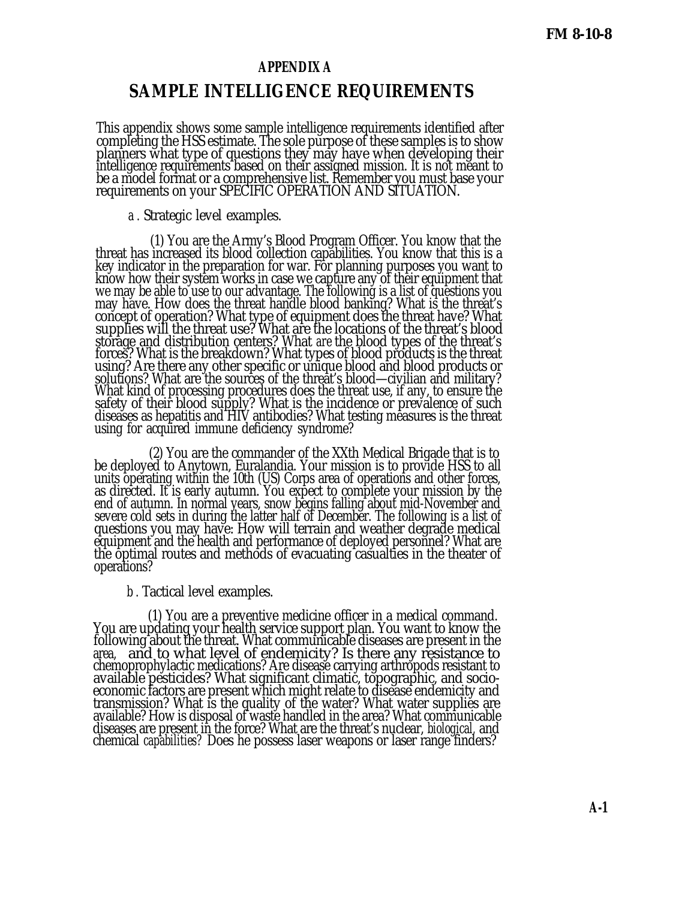#### **APPENDIX A**

## **SAMPLE INTELLIGENCE REQUIREMENTS**

This appendix shows some sample intelligence requirements identified after completing the HSS estimate. The sole purpose of these samples is to show planners what type of questions they may have when developing their intelligence requirements based on their assigned mission. It is not meant to be a model format or a comprehensive list. Remember you must base your requirements on your SPECIFIC OPERATION AND SITUATION.

#### *a .* Strategic level examples.

(1) You are the Army's Blood Program Officer. You know that the threat has increased its blood collection capabilities. You know that this is a key indicator in the preparation for war. For planning purposes you want to know how their system works in case we capture any of their equipment that we may be able to use to our advantage. The following is a list of questions you may have. How does the threat handle blood banking? What is the threat's concept of operation? What type of equipment does the threat have? What supplies will the threat use? What are the locations of the threat's blood storage and distribution centers? What *are* the blood types of the threat's forces? What is the breakdown? What types of blood products is the threat using? Are there any other specific or unique blood and blood products or solutions? What are the sources of the threat's blood—civilian and military? What kind of processing procedures does the threat use, if any, to ensure the safety of their blood supply? What is the incidence or prevalence of such diseases as hepatitis and HIV antibodies? What testing measures is the threat using for acquired immune deficiency syndrome?

(2) You are the commander of the XXth Medical Brigade that is to be deployed to Anytown, Euralandia. Your mission is to provide HSS to all units operating within the 10th (US) Corps area of operations and other forces, as directed. It is early autumn. You expect to complete your mission by the end of autumn. In normal years, snow begins falling about mid-November and severe cold sets in during the latter half of December. The following is a list of questions you may have: How will terrain and weather degrade medical equipment and the health and performance of deployed personnel? What are the optimal routes and methods of evacuating casualties in the theater of operations?

#### *b .* Tactical level examples.

(1) You are a preventive medicine officer in a medical command. You are updating your health service support plan. You want to know the following about the threat. What communicable diseases are present in the area, and to what level of endemicity? Is there any resistance to chemoprophylactic medications? Are disease carrying arthropods resistant to available pesticides? What significant climatic, topographic, and socioeconomic factors are present which might relate to disease endemicity and transmission? What is the quality of the water? What water supplies are available? How is disposal of waste handled in the area? What communicable diseases are present in the force? What are the threat's nuclear, *biological,* and chemical *capabilities?* Does he possess laser weapons or laser range finders?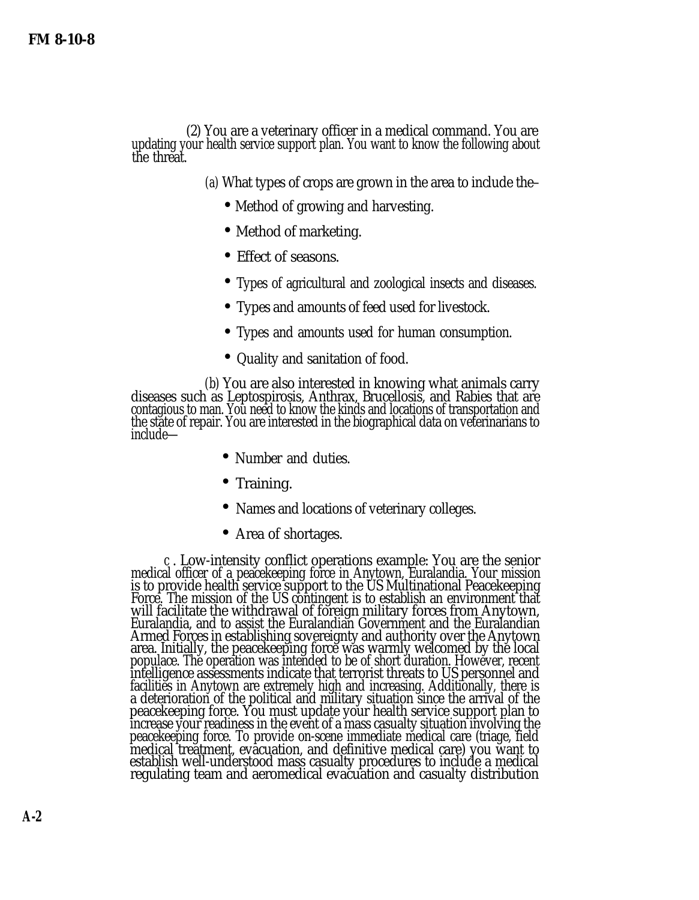(2) You are a veterinary officer in a medical command. You are updating your health service support plan. You want to know the following about the threat.

*(a)* What types of crops are grown in the area to include the–

- Method of growing and harvesting.
- Method of marketing.
- Effect of seasons.
- Types of agricultural and zoological insects and diseases.
- Types and amounts of feed used for livestock.
- Types and amounts used for human consumption.
- Quality and sanitation of food.

*(b)* You are also interested in knowing what animals carry diseases such as Leptospirosis, Anthrax, Brucellosis, and Rabies that are contagious to man. You need to know the kinds and locations of transportation and the state of repair. You are interested in the biographical data on veterinarians to include—

- Number and duties.
- Training.
- Names and locations of veterinary colleges.
- Area of shortages.

*c* . Low-intensity conflict operations example: You are the senior medical officer of a peacekeeping force in Anytown, Euralandia. Your mission is to provide health service support to the US Multinational Peacekeeping Force. The mission of the US contingent is to establish an environment that will facilitate the withdrawal of foreign military forces from Anytown, Euralandia, and to assist the Euralandian Government and the Euralandian Armed Forces in establishing sovereignty and authority over the Anytown area. Initially, the peacekeeping force was warmly welcomed by the local populace. The operation was intended to be of short duration. However, recent intelligence assessments indicate that terrorist threats to US personnel and facilities in Anytown are extremely high and increasing. Additionally, there is a deterioration of the political and military situation since the arrival of the peacekeeping force. You must update your health service support plan to increase your readiness in the event of a mass casualty situation involving the peacekeeping force. To provide on-scene immediate medical care (triage, field medical treatment, evacuation, and definitive medical care) you want to establish well-understood mass casualty procedures to include a medical regulating team and aeromedical evacuation and casualty distribution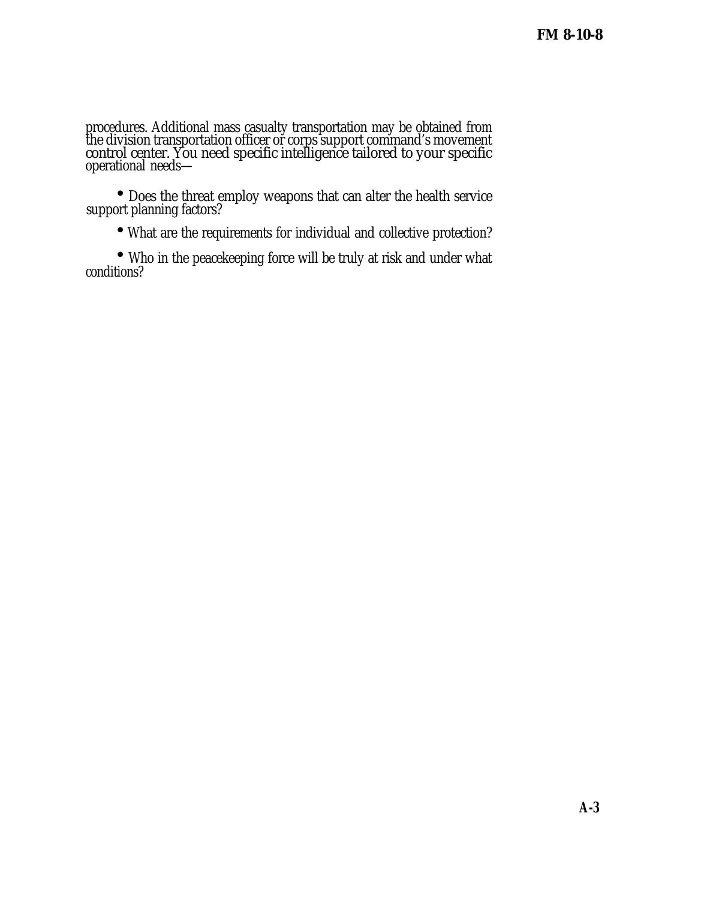procedures. Additional mass casualty transportation may be obtained from the division transportation officer or corps support command's movement control center. You need specific intelligence tailored to your specific operational needs—

 • Does the threat employ weapons that can alter the health service support planning factors?

• What are the requirements for individual and collective protection?

 • Who in the peacekeeping force will be truly at risk and under what conditions?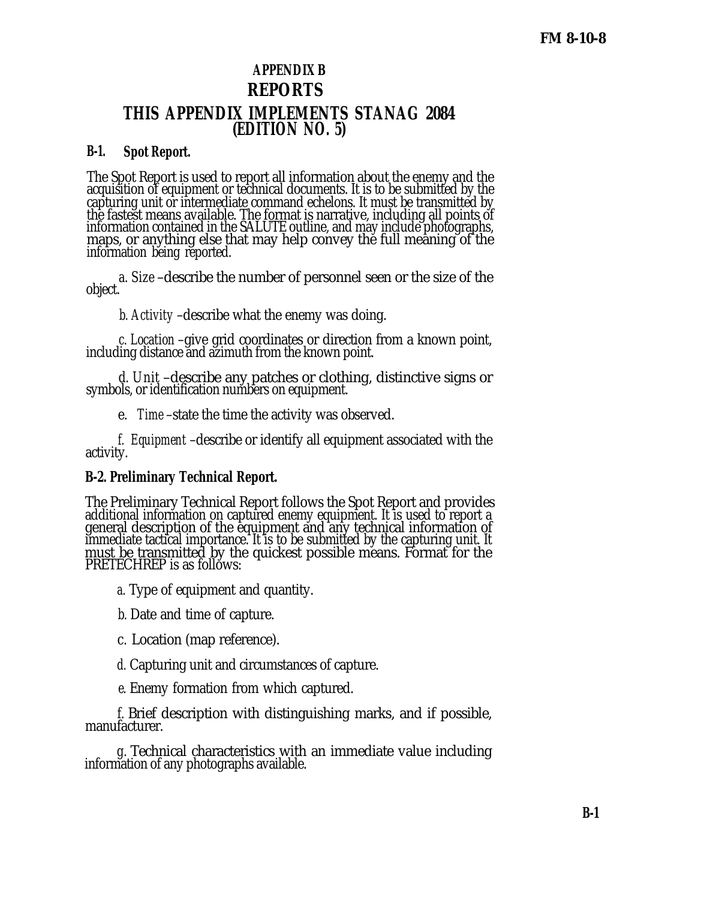## **APPENDIX B REPORTS THIS APPENDIX IMPLEMENTS STANAG 2084 (EDITION NO. 5)**

## **B-1. Spot Report.**

The Spot Report is used to report all information about the enemy and the acquisition of equipment or technical documents. It is to be submitted by the capturing unit or intermediate command echelons. It must be transmitted by the fastest means available. The format is narrative, including all points of information contained in the SALUTE outline, and may include photographs, maps, or anything else that may help convey the full meaning of the information being reported.

*a. Size* –describe the number of personnel seen or the size of the object.

*b. Activity* –describe what the enemy was doing.

*c. Location* –give grid coordinates or direction from a known point, including distance and azimuth from the known point.

*d. Unit* –describe any patches or clothing, distinctive signs or symbols, or identification numbers on equipment.

*e. Time* –state the time the activity was observed.

*f. Equipment* –describe or identify all equipment associated with the activity.

## **B-2. Preliminary Technical Report.**

The Preliminary Technical Report follows the Spot Report and provides additional information on captured enemy equipment. It is used to report a general description of the equipment and any technical information of immediate tactical importance. It is to be submitted by the capturing unit. It must be transmitted by the quickest possible means. Format for the PRETECHREP is as follows:

*a.* Type of equipment and quantity.

*b.* Date and time of capture.

*c.* Location (map reference).

*d.* Capturing unit and circumstances of capture.

*e.* Enemy formation from which captured.

*f.* Brief description with distinguishing marks, and if possible, manufacturer.

*g.* Technical characteristics with an immediate value including information of any photographs available.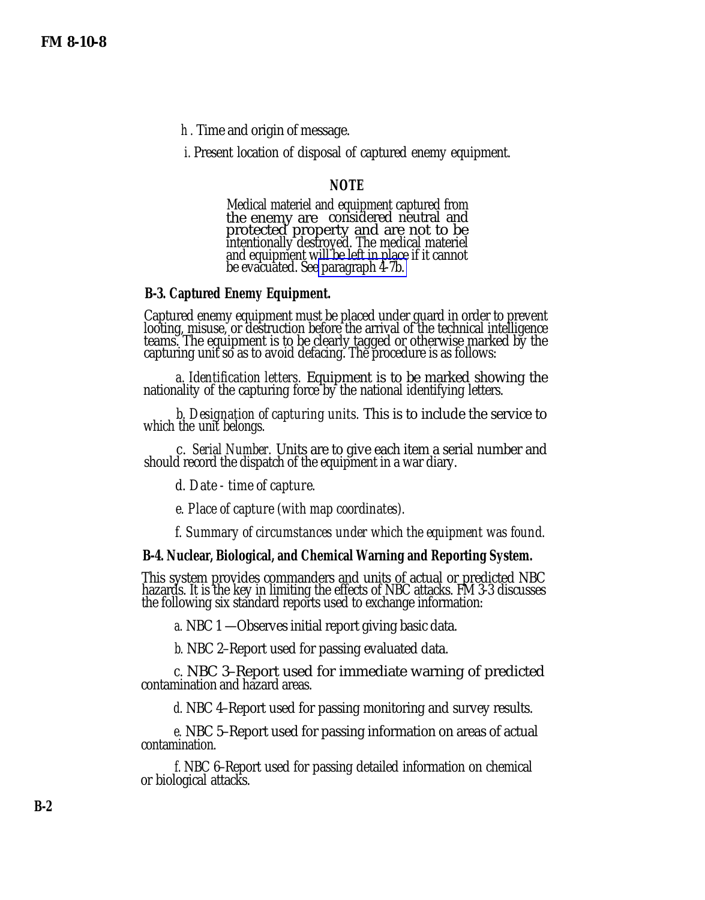*h .* Time and origin of message.

*i.* Present location of disposal of captured enemy equipment.

#### **NOTE**

Medical materiel and equipment captured from the enemy are considered neutral and protected property and are not to be intentionally destroyed. The medical materiel and equipment will be left in place if it cannot be evacuated. See [paragraph 4-7b.](#page-3-0)

#### **B-3. Captured Enemy Equipment.**

Captured enemy equipment must be placed under guard in order to prevent looting, misuse, or destruction before the arrival of the technical intelligence teams. The equipment is to be clearly tagged or otherwise marked by the capturing unit so as to avoid defacing. The procedure is as follows:

*a. Identification letters.* Equipment is to be marked showing the nationality of the capturing force by the national identifying letters.

*b. Designation of capturing units.* This is to include the service to which the unit belongs.

*c. Serial Number.* Units are to give each item a serial number and should record the dispatch of the equipment in a war diary.

*d. Date - time of capture.*

*e. Place of capture (with map coordinates).*

*f. Summary of circumstances under which the equipment was found.*

#### **B-4. Nuclear, Biological, and Chemical Warning and Reporting System.**

This system provides commanders and units of actual or predicted NBC hazards. It is the key in limiting the effects of NBC attacks. FM 3-3 discusses the following six standard reports used to exchange information:

*a.* NBC 1 —Observes initial report giving basic data.

*b.* NBC 2–Report used for passing evaluated data.

*c.* NBC 3–Report used for immediate warning of predicted contamination and hazard areas.

*d.* NBC 4–Report used for passing monitoring and survey results.

*e.* NBC 5–Report used for passing information on areas of actual contamination.

*f.* NBC 6–Report used for passing detailed information on chemical or biological attacks.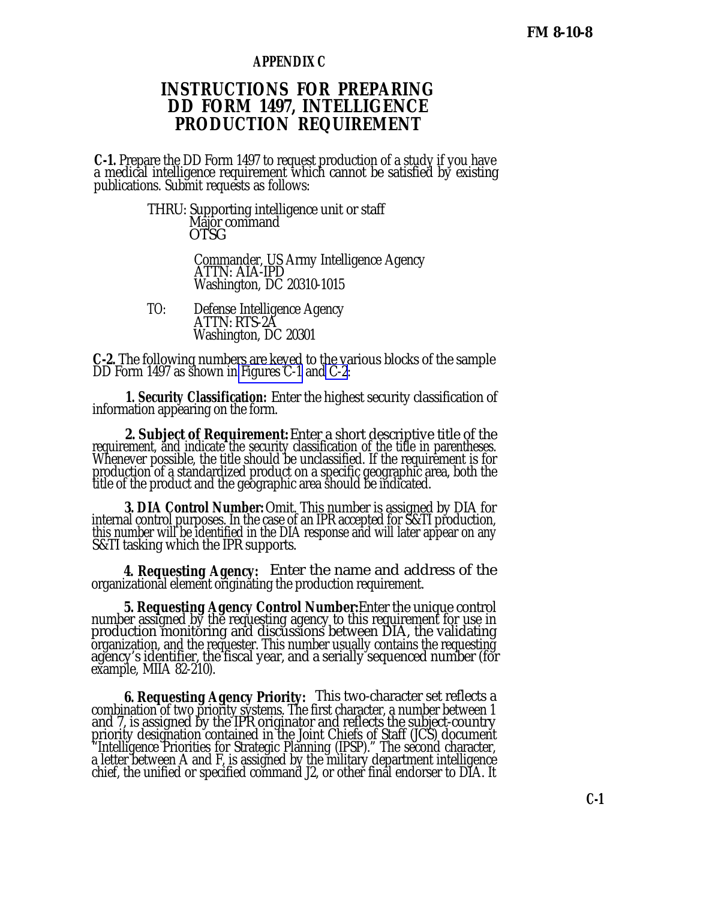### **APPENDIX C**

## **INSTRUCTIONS FOR PREPARING DD FORM 1497, INTELLIGENCE PRODUCTION REQUIREMENT**

**C-1.** Prepare the DD Form 1497 to request production of a study if you have a medical intelligence requirement which cannot be satisfied by existing publications. Submit requests as follows:

> THRU: Supporting intelligence unit or staff M<u>ajor</u> command OTSG

> > Commander, US Army Intelligence Agency ATTN: AIA-IPD Washington, DC 20310-1015

TO: Defense Intelligence Agency ATTN: RTS-2A Washington, DC 20301

**C-2.** The following numbers are keyed to the various blocks of the sample DD Form 1497 as shown in [Figures C-1](#page-35-0) and [C-2:](#page-36-0)

**1. Security Classification:** Enter the highest security classification of information appearing on the form.

**2. Subject of Requirement:** Enter a short descriptive title of the requirement, and indicate the security classification of the title in parentheses. Whenever possible, the title should be unclassified. If the requirement is for production of a standardized product on a specific geographic area, both the title of the product and the geographic area should be indicated.

**3. DIA Control Number:** Omit. This number is assigned by DIA for internal control purposes. In the case of an IPR accepted for S&TI production, this number will be identified in the DIA response and will later appear on any S&TI tasking which the IPR supports.

**4. Requesting Agency:** Enter the name and address of the organizational element originating the production requirement.

**5. Requesting Agency Control Number:** Enter the unique control number assigned by the requesting agency to this requirement for use in production monitoring and discussions between DIA, the validating organization, and the requester. This number usually contains the requesting agency's identifier, the fiscal year, and a serially sequenced number (for example, MIIA 82-210).

**6. Requesting Agency Priority:** This two-character set reflects a combination of two priority systems. The first character, a number between 1 and 7, is assigned by the IPR originator and reflects the subject-country priority designation contained in the Joint Chiefs of Staff (JCS) document "Intelligence Priorities for Strategic Planning (IPSP)." The second character, a letter between A and F, is assigned by the military department intelligence chief, the unified or specified command J2, or other final endorser to DIA. It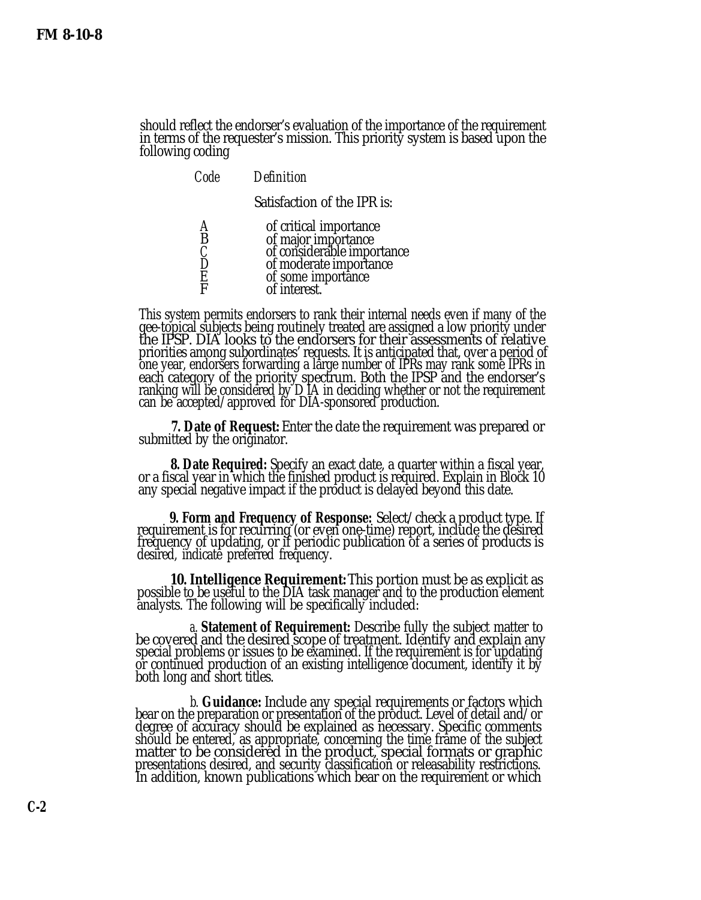should reflect the endorser's evaluation of the importance of the requirement in terms of the requester's mission. This priority system is based upon the following coding

| Code        | <b>Definition</b>                                                                                                                           |
|-------------|---------------------------------------------------------------------------------------------------------------------------------------------|
|             | Satisfaction of the IPR is:                                                                                                                 |
| B<br>Ē<br>F | of critical importance<br>of major importance<br>of considerable importance<br>of moderate importance<br>of some importance<br>of interest. |

This system permits endorsers to rank their internal needs even if many of the gee-topical subjects being routinely treated are assigned a low priority under the IPSP. DIA looks to the endorsers for their assessments of relative priorities among subordinates' requests. It is anticipated that, over a period of one year, endorsers forwarding a large number of IPRs may rank some IPRs in each category of the priority spectrum. Both the IPSP and the endorser's ranking will be considered by D IA in deciding whether or not the requirement can be accepted/approved for DIA-sponsored production.

**7. Date of Request:** Enter the date the requirement was prepared or submitted by the originator.

**8. Date Required:** Specify an exact date, a quarter within a fiscal year, or a fiscal year in which the finished product is required. Explain in Block 10 any special negative impact if the product is delayed beyond this date.

**9. Form and Frequency of Response:** Select/check a product type. If requirement is for recurring (or even one-time) report, include the desired frequency of updating, or if periodic publication of a series of products is desired, indicate preferred frequency.

**10. Intelligence Requirement:** This portion must be as explicit as possible t<u>o</u> be useful to the DIA task manager and to the production element analysts. The following will be specifically included:

*a.* **Statement of Requirement:** Describe fully the subject matter to be covered and the desired scope of treatment. Identify and explain any special problems or issues to be examined. If the requirement is for updating or continued production of an existing intelligence document, identify it by both long and short titles.

*b.* **Guidance:** Include any special requirements or factors which bear on the preparation or presentation of the product. Level of detail and/or degree of accuracy should be explained as necessary. Specific comments should be entered, as appropriate, concerning the time frame of the subject matter to be considered in the product, special formats or graphic presentations desired, and security classification or releasability restrictions. In addition, known publications which bear on the requirement or which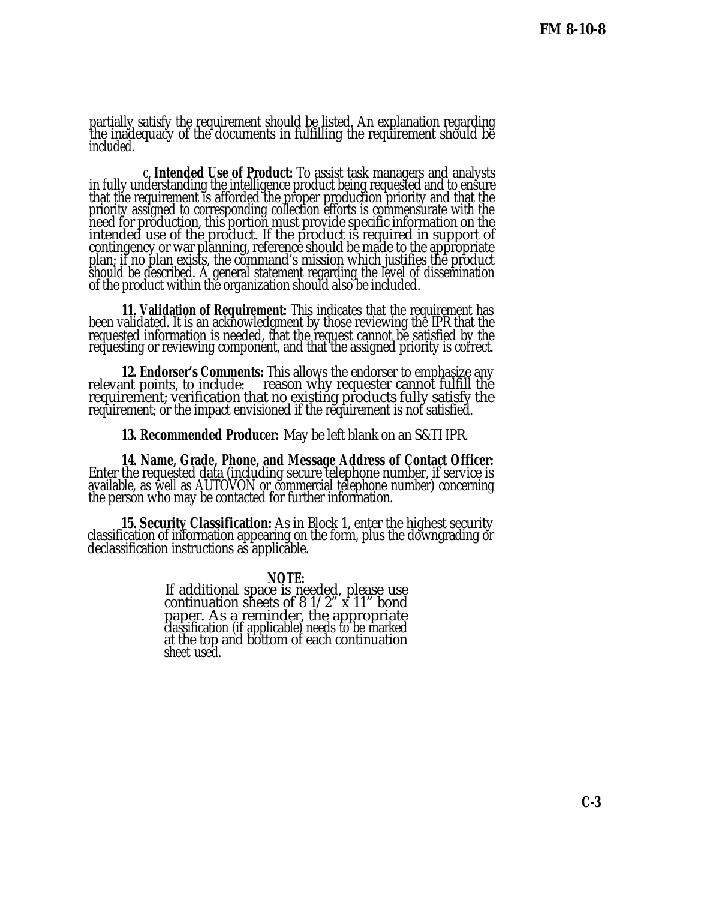partially satisfy the requirement should be listed. An explanation regarding the inadequacy of the documents in fulfilling the requirement should be included.

*c.* **Intended Use of Product:** To assist task managers and analysts in fully understanding the intelligence product being requested and to ensure that the requirement is afforded the proper production priority and that the priority assigned to corresponding collection efforts is commensurate with the need for production, this portion must provide specific information on the intended use of the product. If the product is required in support of contingency or war planning, reference should be made to the appropriate plan; if no plan exists, the command's mission which justifies the product should be described. A general statement regarding the level of dissemination of the product within the organization should also be included.

**11. Validation of Requirement:** This indicates that the requirement has been validated. It is an acknowledgment by those reviewing the IPR that the requested information is needed, that the request cannot be satisfied by the requesting or reviewing component, and that the assigned priority is correct.

**12. Endorser's Comments:** This allows the endorser to emphasize any relevant points, to include: reason why requester cannot fulfill the requirement; verification that no existing products fully satisfy the requirement; or the impact envisioned if the requirement is not satisfied.

**13. Recommended Producer:** May be left blank on an S&TI IPR.

**14. Name, Grade, Phone, and Message Address of Contact Officer:** Enter the requested data (including secure telephone number, if service is available, as well as AUTOVON or commercial telephone number) concerning the person who may be contacted for further information.

**15. Security Classification:** As in Block 1, enter the highest security classification of information appearing on the form, plus the downgrading or declassification instructions as applicable.

> **NOTE:** If additional space is needed, please use continuation sheets of  $8 \frac{1}{2}$  x  $11$ " bond paper. As a reminder, the appropriate classification (if applicable) needs to be marked at the top and bottom of each continuation sheet used.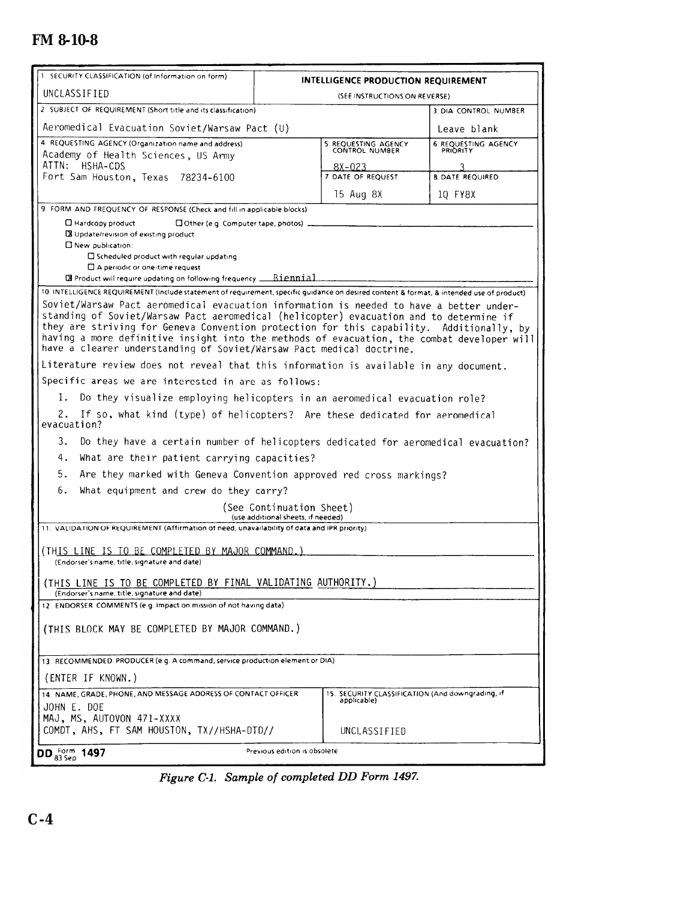## <span id="page-35-0"></span>**FM 8-10-8**

| UNCLASSIFIED<br>(SEE INSTRUCTIONS ON REVERSE)<br>2 SUBJECT OF REQUIREMENT (Short title and its classification).<br>3. DIA CONTROL NUMBER<br>Aeromedical Evacuation Soviet/Warsaw Pact (U)<br>Leave blank<br>4. REQUESTING AGENCY (Organization name and address)<br><b>6. REQUESTING AGENCY</b><br>5. REQUESTING AGENCY<br>PRIORITY<br>Academy of Health Sciences, US Army<br>ATTN: HSHA-CDS<br>8X-023<br>3<br>Fort Sam Houston, Texas 78234-6100<br>7. DATE OF REQUEST<br><b>8. DATE REQUIRED</b><br>15 Aug 8X<br>10 FY8X<br>9 FORM AND FREQUENCY OF RESPONSE (Check and fill in applicable blocks).<br>$\Box$ Hardcopy product<br>DOther (e.g. Computer tape, photos)<br>X Update/revision of existing product<br>D New publication:<br>□ Scheduled product with regular updating<br>$\Box$ A periodic or one-time request<br>10. INTELLIGENCE REQUIREMENT (include statement of requirement, specific guidance on desired content & format, & intended use of product)<br>Soviet/Warsaw Pact aeromedical evacuation information is needed to have a better under-<br>standing of Soviet/Warsaw Pact aeromedical (helicopter) evacuation and to determine if<br>they are striving for Geneva Convention protection for this capability. Additionally, by<br>having a more definitive insight into the methods of evacuation, the combat developer will<br>have a clearer understanding of Soviet/Warsaw Pact medical doctrine.<br>Literature review does not reveal that this information is available in any document.<br>Specific areas we are interested in are as follows:<br>1.<br>Do they visualize employing helicopters in an aeromedical evacuation role?<br>2.<br>If so, what kind (type) of helicopters? Are these dedicated for aeromedical<br>evacuation?<br>3.<br>Do they have a certain number of helicopters dedicated for aeromedical evacuation?<br>4.<br>What are their patient carrying capacities?<br>5.<br>Are they marked with Geneva Convention approved red cross markings?<br>6.<br>What equipment and crew do they carry?<br>(See Continuation Sheet)<br>(use additional sheets, if needed)<br>11. VALIDATION OF REQUIREMENT (Affirmation of need, unavailability of data and IPR priority).<br>(THIS LINE IS TO BE COMPLETED BY MAJOR COMMAND.)<br>(Endorser's name, title, signature and date)<br>(THIS LINE IS TO BE COMPLETED BY FINAL VALIDATING AUTHORITY.)<br>(Endorser's name, title, signature and date)<br>12. ENDORSER COMMENTS (e.g. Impact on mission of not having data)<br>(THIS BLOCK MAY BE COMPLETED BY MAJOR COMMAND.)<br>13. RECOMMENDED PRODUCER (e.g. A command, service production element or DIA)<br>(ENTER IF KNOWN.)<br>14. NAME, GRADE, PHONE, AND MESSAGE ADDRESS OF CONTACT OFFICER<br>15. SECURITY CLASSIFICATION (And downgrading, if<br>applicable)<br>JOHN E. DOE<br>MAJ, MS, AUTOVON 471-XXXX<br>COMDT, AHS, FT SAM HOUSTON, TX//HSHA-DTD//<br>UNCLASSIFIED<br>Previous edition is obsolete<br>DD $_{83 \,\text{Sep}}^{\text{Form}}$ 1497 | 1. SECURITY CLASSIFICATION (of Information on form) |  | INTELLIGENCE PRODUCTION REQUIREMENT |  |
|----------------------------------------------------------------------------------------------------------------------------------------------------------------------------------------------------------------------------------------------------------------------------------------------------------------------------------------------------------------------------------------------------------------------------------------------------------------------------------------------------------------------------------------------------------------------------------------------------------------------------------------------------------------------------------------------------------------------------------------------------------------------------------------------------------------------------------------------------------------------------------------------------------------------------------------------------------------------------------------------------------------------------------------------------------------------------------------------------------------------------------------------------------------------------------------------------------------------------------------------------------------------------------------------------------------------------------------------------------------------------------------------------------------------------------------------------------------------------------------------------------------------------------------------------------------------------------------------------------------------------------------------------------------------------------------------------------------------------------------------------------------------------------------------------------------------------------------------------------------------------------------------------------------------------------------------------------------------------------------------------------------------------------------------------------------------------------------------------------------------------------------------------------------------------------------------------------------------------------------------------------------------------------------------------------------------------------------------------------------------------------------------------------------------------------------------------------------------------------------------------------------------------------------------------------------------------------------------------------------------------------------------------------------------------------------------------------------------------------------------------------------------------------------------------------------------------------------------------------------------------------------------------------------------------------------------------------------------------------------------------------|-----------------------------------------------------|--|-------------------------------------|--|
|                                                                                                                                                                                                                                                                                                                                                                                                                                                                                                                                                                                                                                                                                                                                                                                                                                                                                                                                                                                                                                                                                                                                                                                                                                                                                                                                                                                                                                                                                                                                                                                                                                                                                                                                                                                                                                                                                                                                                                                                                                                                                                                                                                                                                                                                                                                                                                                                                                                                                                                                                                                                                                                                                                                                                                                                                                                                                                                                                                                                          |                                                     |  |                                     |  |
|                                                                                                                                                                                                                                                                                                                                                                                                                                                                                                                                                                                                                                                                                                                                                                                                                                                                                                                                                                                                                                                                                                                                                                                                                                                                                                                                                                                                                                                                                                                                                                                                                                                                                                                                                                                                                                                                                                                                                                                                                                                                                                                                                                                                                                                                                                                                                                                                                                                                                                                                                                                                                                                                                                                                                                                                                                                                                                                                                                                                          |                                                     |  |                                     |  |
|                                                                                                                                                                                                                                                                                                                                                                                                                                                                                                                                                                                                                                                                                                                                                                                                                                                                                                                                                                                                                                                                                                                                                                                                                                                                                                                                                                                                                                                                                                                                                                                                                                                                                                                                                                                                                                                                                                                                                                                                                                                                                                                                                                                                                                                                                                                                                                                                                                                                                                                                                                                                                                                                                                                                                                                                                                                                                                                                                                                                          |                                                     |  |                                     |  |
|                                                                                                                                                                                                                                                                                                                                                                                                                                                                                                                                                                                                                                                                                                                                                                                                                                                                                                                                                                                                                                                                                                                                                                                                                                                                                                                                                                                                                                                                                                                                                                                                                                                                                                                                                                                                                                                                                                                                                                                                                                                                                                                                                                                                                                                                                                                                                                                                                                                                                                                                                                                                                                                                                                                                                                                                                                                                                                                                                                                                          |                                                     |  |                                     |  |
|                                                                                                                                                                                                                                                                                                                                                                                                                                                                                                                                                                                                                                                                                                                                                                                                                                                                                                                                                                                                                                                                                                                                                                                                                                                                                                                                                                                                                                                                                                                                                                                                                                                                                                                                                                                                                                                                                                                                                                                                                                                                                                                                                                                                                                                                                                                                                                                                                                                                                                                                                                                                                                                                                                                                                                                                                                                                                                                                                                                                          |                                                     |  |                                     |  |
|                                                                                                                                                                                                                                                                                                                                                                                                                                                                                                                                                                                                                                                                                                                                                                                                                                                                                                                                                                                                                                                                                                                                                                                                                                                                                                                                                                                                                                                                                                                                                                                                                                                                                                                                                                                                                                                                                                                                                                                                                                                                                                                                                                                                                                                                                                                                                                                                                                                                                                                                                                                                                                                                                                                                                                                                                                                                                                                                                                                                          |                                                     |  |                                     |  |
|                                                                                                                                                                                                                                                                                                                                                                                                                                                                                                                                                                                                                                                                                                                                                                                                                                                                                                                                                                                                                                                                                                                                                                                                                                                                                                                                                                                                                                                                                                                                                                                                                                                                                                                                                                                                                                                                                                                                                                                                                                                                                                                                                                                                                                                                                                                                                                                                                                                                                                                                                                                                                                                                                                                                                                                                                                                                                                                                                                                                          |                                                     |  |                                     |  |
|                                                                                                                                                                                                                                                                                                                                                                                                                                                                                                                                                                                                                                                                                                                                                                                                                                                                                                                                                                                                                                                                                                                                                                                                                                                                                                                                                                                                                                                                                                                                                                                                                                                                                                                                                                                                                                                                                                                                                                                                                                                                                                                                                                                                                                                                                                                                                                                                                                                                                                                                                                                                                                                                                                                                                                                                                                                                                                                                                                                                          |                                                     |  |                                     |  |
|                                                                                                                                                                                                                                                                                                                                                                                                                                                                                                                                                                                                                                                                                                                                                                                                                                                                                                                                                                                                                                                                                                                                                                                                                                                                                                                                                                                                                                                                                                                                                                                                                                                                                                                                                                                                                                                                                                                                                                                                                                                                                                                                                                                                                                                                                                                                                                                                                                                                                                                                                                                                                                                                                                                                                                                                                                                                                                                                                                                                          |                                                     |  |                                     |  |
|                                                                                                                                                                                                                                                                                                                                                                                                                                                                                                                                                                                                                                                                                                                                                                                                                                                                                                                                                                                                                                                                                                                                                                                                                                                                                                                                                                                                                                                                                                                                                                                                                                                                                                                                                                                                                                                                                                                                                                                                                                                                                                                                                                                                                                                                                                                                                                                                                                                                                                                                                                                                                                                                                                                                                                                                                                                                                                                                                                                                          |                                                     |  |                                     |  |
|                                                                                                                                                                                                                                                                                                                                                                                                                                                                                                                                                                                                                                                                                                                                                                                                                                                                                                                                                                                                                                                                                                                                                                                                                                                                                                                                                                                                                                                                                                                                                                                                                                                                                                                                                                                                                                                                                                                                                                                                                                                                                                                                                                                                                                                                                                                                                                                                                                                                                                                                                                                                                                                                                                                                                                                                                                                                                                                                                                                                          |                                                     |  |                                     |  |
|                                                                                                                                                                                                                                                                                                                                                                                                                                                                                                                                                                                                                                                                                                                                                                                                                                                                                                                                                                                                                                                                                                                                                                                                                                                                                                                                                                                                                                                                                                                                                                                                                                                                                                                                                                                                                                                                                                                                                                                                                                                                                                                                                                                                                                                                                                                                                                                                                                                                                                                                                                                                                                                                                                                                                                                                                                                                                                                                                                                                          |                                                     |  |                                     |  |
|                                                                                                                                                                                                                                                                                                                                                                                                                                                                                                                                                                                                                                                                                                                                                                                                                                                                                                                                                                                                                                                                                                                                                                                                                                                                                                                                                                                                                                                                                                                                                                                                                                                                                                                                                                                                                                                                                                                                                                                                                                                                                                                                                                                                                                                                                                                                                                                                                                                                                                                                                                                                                                                                                                                                                                                                                                                                                                                                                                                                          |                                                     |  |                                     |  |
|                                                                                                                                                                                                                                                                                                                                                                                                                                                                                                                                                                                                                                                                                                                                                                                                                                                                                                                                                                                                                                                                                                                                                                                                                                                                                                                                                                                                                                                                                                                                                                                                                                                                                                                                                                                                                                                                                                                                                                                                                                                                                                                                                                                                                                                                                                                                                                                                                                                                                                                                                                                                                                                                                                                                                                                                                                                                                                                                                                                                          |                                                     |  |                                     |  |
|                                                                                                                                                                                                                                                                                                                                                                                                                                                                                                                                                                                                                                                                                                                                                                                                                                                                                                                                                                                                                                                                                                                                                                                                                                                                                                                                                                                                                                                                                                                                                                                                                                                                                                                                                                                                                                                                                                                                                                                                                                                                                                                                                                                                                                                                                                                                                                                                                                                                                                                                                                                                                                                                                                                                                                                                                                                                                                                                                                                                          |                                                     |  |                                     |  |
|                                                                                                                                                                                                                                                                                                                                                                                                                                                                                                                                                                                                                                                                                                                                                                                                                                                                                                                                                                                                                                                                                                                                                                                                                                                                                                                                                                                                                                                                                                                                                                                                                                                                                                                                                                                                                                                                                                                                                                                                                                                                                                                                                                                                                                                                                                                                                                                                                                                                                                                                                                                                                                                                                                                                                                                                                                                                                                                                                                                                          |                                                     |  |                                     |  |
|                                                                                                                                                                                                                                                                                                                                                                                                                                                                                                                                                                                                                                                                                                                                                                                                                                                                                                                                                                                                                                                                                                                                                                                                                                                                                                                                                                                                                                                                                                                                                                                                                                                                                                                                                                                                                                                                                                                                                                                                                                                                                                                                                                                                                                                                                                                                                                                                                                                                                                                                                                                                                                                                                                                                                                                                                                                                                                                                                                                                          |                                                     |  |                                     |  |
|                                                                                                                                                                                                                                                                                                                                                                                                                                                                                                                                                                                                                                                                                                                                                                                                                                                                                                                                                                                                                                                                                                                                                                                                                                                                                                                                                                                                                                                                                                                                                                                                                                                                                                                                                                                                                                                                                                                                                                                                                                                                                                                                                                                                                                                                                                                                                                                                                                                                                                                                                                                                                                                                                                                                                                                                                                                                                                                                                                                                          |                                                     |  |                                     |  |
|                                                                                                                                                                                                                                                                                                                                                                                                                                                                                                                                                                                                                                                                                                                                                                                                                                                                                                                                                                                                                                                                                                                                                                                                                                                                                                                                                                                                                                                                                                                                                                                                                                                                                                                                                                                                                                                                                                                                                                                                                                                                                                                                                                                                                                                                                                                                                                                                                                                                                                                                                                                                                                                                                                                                                                                                                                                                                                                                                                                                          |                                                     |  |                                     |  |
|                                                                                                                                                                                                                                                                                                                                                                                                                                                                                                                                                                                                                                                                                                                                                                                                                                                                                                                                                                                                                                                                                                                                                                                                                                                                                                                                                                                                                                                                                                                                                                                                                                                                                                                                                                                                                                                                                                                                                                                                                                                                                                                                                                                                                                                                                                                                                                                                                                                                                                                                                                                                                                                                                                                                                                                                                                                                                                                                                                                                          |                                                     |  |                                     |  |
|                                                                                                                                                                                                                                                                                                                                                                                                                                                                                                                                                                                                                                                                                                                                                                                                                                                                                                                                                                                                                                                                                                                                                                                                                                                                                                                                                                                                                                                                                                                                                                                                                                                                                                                                                                                                                                                                                                                                                                                                                                                                                                                                                                                                                                                                                                                                                                                                                                                                                                                                                                                                                                                                                                                                                                                                                                                                                                                                                                                                          |                                                     |  |                                     |  |
|                                                                                                                                                                                                                                                                                                                                                                                                                                                                                                                                                                                                                                                                                                                                                                                                                                                                                                                                                                                                                                                                                                                                                                                                                                                                                                                                                                                                                                                                                                                                                                                                                                                                                                                                                                                                                                                                                                                                                                                                                                                                                                                                                                                                                                                                                                                                                                                                                                                                                                                                                                                                                                                                                                                                                                                                                                                                                                                                                                                                          |                                                     |  |                                     |  |
|                                                                                                                                                                                                                                                                                                                                                                                                                                                                                                                                                                                                                                                                                                                                                                                                                                                                                                                                                                                                                                                                                                                                                                                                                                                                                                                                                                                                                                                                                                                                                                                                                                                                                                                                                                                                                                                                                                                                                                                                                                                                                                                                                                                                                                                                                                                                                                                                                                                                                                                                                                                                                                                                                                                                                                                                                                                                                                                                                                                                          |                                                     |  |                                     |  |
|                                                                                                                                                                                                                                                                                                                                                                                                                                                                                                                                                                                                                                                                                                                                                                                                                                                                                                                                                                                                                                                                                                                                                                                                                                                                                                                                                                                                                                                                                                                                                                                                                                                                                                                                                                                                                                                                                                                                                                                                                                                                                                                                                                                                                                                                                                                                                                                                                                                                                                                                                                                                                                                                                                                                                                                                                                                                                                                                                                                                          |                                                     |  |                                     |  |
|                                                                                                                                                                                                                                                                                                                                                                                                                                                                                                                                                                                                                                                                                                                                                                                                                                                                                                                                                                                                                                                                                                                                                                                                                                                                                                                                                                                                                                                                                                                                                                                                                                                                                                                                                                                                                                                                                                                                                                                                                                                                                                                                                                                                                                                                                                                                                                                                                                                                                                                                                                                                                                                                                                                                                                                                                                                                                                                                                                                                          |                                                     |  |                                     |  |
|                                                                                                                                                                                                                                                                                                                                                                                                                                                                                                                                                                                                                                                                                                                                                                                                                                                                                                                                                                                                                                                                                                                                                                                                                                                                                                                                                                                                                                                                                                                                                                                                                                                                                                                                                                                                                                                                                                                                                                                                                                                                                                                                                                                                                                                                                                                                                                                                                                                                                                                                                                                                                                                                                                                                                                                                                                                                                                                                                                                                          |                                                     |  |                                     |  |
|                                                                                                                                                                                                                                                                                                                                                                                                                                                                                                                                                                                                                                                                                                                                                                                                                                                                                                                                                                                                                                                                                                                                                                                                                                                                                                                                                                                                                                                                                                                                                                                                                                                                                                                                                                                                                                                                                                                                                                                                                                                                                                                                                                                                                                                                                                                                                                                                                                                                                                                                                                                                                                                                                                                                                                                                                                                                                                                                                                                                          |                                                     |  |                                     |  |
|                                                                                                                                                                                                                                                                                                                                                                                                                                                                                                                                                                                                                                                                                                                                                                                                                                                                                                                                                                                                                                                                                                                                                                                                                                                                                                                                                                                                                                                                                                                                                                                                                                                                                                                                                                                                                                                                                                                                                                                                                                                                                                                                                                                                                                                                                                                                                                                                                                                                                                                                                                                                                                                                                                                                                                                                                                                                                                                                                                                                          |                                                     |  |                                     |  |
|                                                                                                                                                                                                                                                                                                                                                                                                                                                                                                                                                                                                                                                                                                                                                                                                                                                                                                                                                                                                                                                                                                                                                                                                                                                                                                                                                                                                                                                                                                                                                                                                                                                                                                                                                                                                                                                                                                                                                                                                                                                                                                                                                                                                                                                                                                                                                                                                                                                                                                                                                                                                                                                                                                                                                                                                                                                                                                                                                                                                          |                                                     |  |                                     |  |
|                                                                                                                                                                                                                                                                                                                                                                                                                                                                                                                                                                                                                                                                                                                                                                                                                                                                                                                                                                                                                                                                                                                                                                                                                                                                                                                                                                                                                                                                                                                                                                                                                                                                                                                                                                                                                                                                                                                                                                                                                                                                                                                                                                                                                                                                                                                                                                                                                                                                                                                                                                                                                                                                                                                                                                                                                                                                                                                                                                                                          |                                                     |  |                                     |  |
|                                                                                                                                                                                                                                                                                                                                                                                                                                                                                                                                                                                                                                                                                                                                                                                                                                                                                                                                                                                                                                                                                                                                                                                                                                                                                                                                                                                                                                                                                                                                                                                                                                                                                                                                                                                                                                                                                                                                                                                                                                                                                                                                                                                                                                                                                                                                                                                                                                                                                                                                                                                                                                                                                                                                                                                                                                                                                                                                                                                                          |                                                     |  |                                     |  |
|                                                                                                                                                                                                                                                                                                                                                                                                                                                                                                                                                                                                                                                                                                                                                                                                                                                                                                                                                                                                                                                                                                                                                                                                                                                                                                                                                                                                                                                                                                                                                                                                                                                                                                                                                                                                                                                                                                                                                                                                                                                                                                                                                                                                                                                                                                                                                                                                                                                                                                                                                                                                                                                                                                                                                                                                                                                                                                                                                                                                          |                                                     |  |                                     |  |
|                                                                                                                                                                                                                                                                                                                                                                                                                                                                                                                                                                                                                                                                                                                                                                                                                                                                                                                                                                                                                                                                                                                                                                                                                                                                                                                                                                                                                                                                                                                                                                                                                                                                                                                                                                                                                                                                                                                                                                                                                                                                                                                                                                                                                                                                                                                                                                                                                                                                                                                                                                                                                                                                                                                                                                                                                                                                                                                                                                                                          |                                                     |  |                                     |  |
|                                                                                                                                                                                                                                                                                                                                                                                                                                                                                                                                                                                                                                                                                                                                                                                                                                                                                                                                                                                                                                                                                                                                                                                                                                                                                                                                                                                                                                                                                                                                                                                                                                                                                                                                                                                                                                                                                                                                                                                                                                                                                                                                                                                                                                                                                                                                                                                                                                                                                                                                                                                                                                                                                                                                                                                                                                                                                                                                                                                                          |                                                     |  |                                     |  |
|                                                                                                                                                                                                                                                                                                                                                                                                                                                                                                                                                                                                                                                                                                                                                                                                                                                                                                                                                                                                                                                                                                                                                                                                                                                                                                                                                                                                                                                                                                                                                                                                                                                                                                                                                                                                                                                                                                                                                                                                                                                                                                                                                                                                                                                                                                                                                                                                                                                                                                                                                                                                                                                                                                                                                                                                                                                                                                                                                                                                          |                                                     |  |                                     |  |

Figure C-1. Sample of completed DD Form 1497.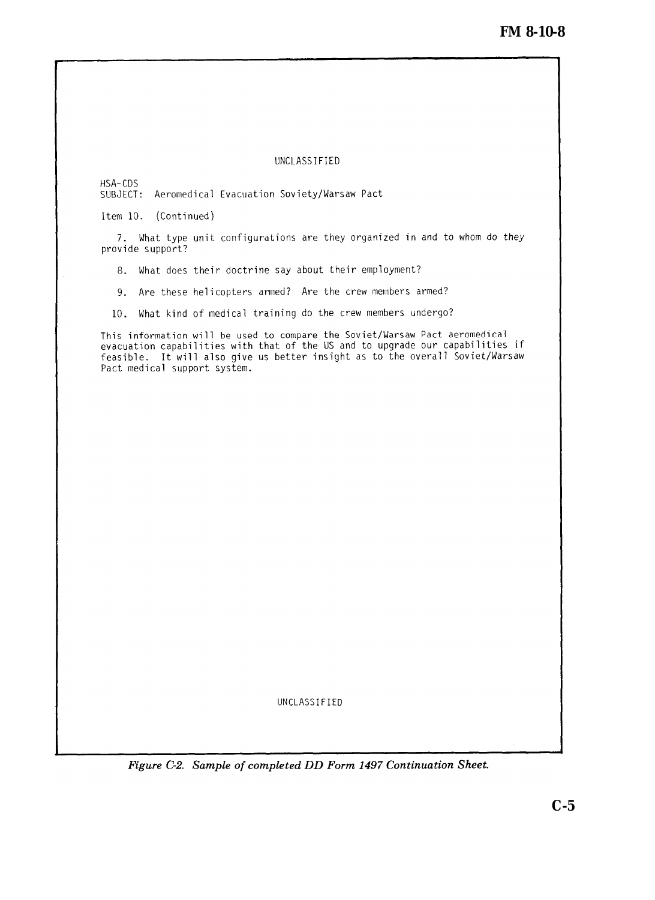#### UNCLASSIFIED

<span id="page-36-0"></span>HSA-CDS

SUBJECT: Aeromedical Evacuation Soviety/Warsaw Pact

Item 10. (Continued)

7. What type unit configurations are they organized in and to whom do they provide support?

8. What does their doctrine say about their employment?

9. Are these helicopters armed? Are the crew members armed?

10. What kind of medical training do the crew members undergo?

This information will be used to compare the Soviet/Warsaw Pact aeromedical evacuation capabilities with that of the US and to upgrade our capabilities if feasible. It will also give us better insight as to the overall Soviet/Warsaw Pact medical support system.

UNCLASSIFIED

Figure C-2. Sample of completed DD Form 1497 Continuation Sheet.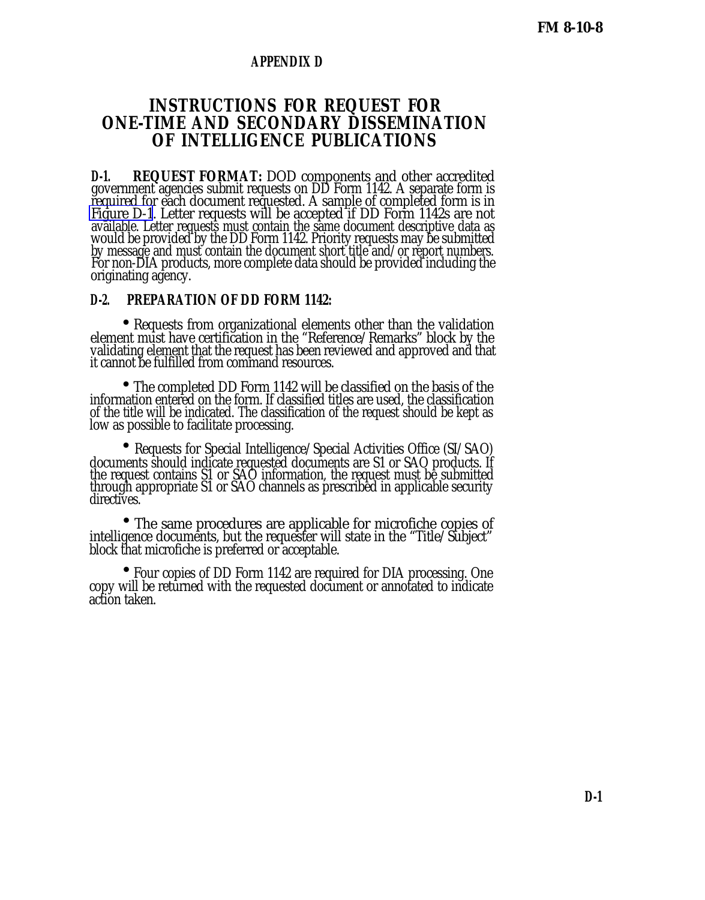#### **APPENDIX D**

## **INSTRUCTIONS FOR REQUEST FOR ONE-TIME AND SECONDARY DISSEMINATION OF INTELLIGENCE PUBLICATIONS**

**D-1. REQUEST FORMAT:** DOD components and other accredited government agencies submit requests on DD Form 1142. A separate form is required for each document requested. A sample of completed form is in [Figure D-1](#page-38-0). Letter requests will be accepted if DD Form 1142s are not available. Letter requests must contain the same document descriptive data as would be provided by the DD Form 1142. Priority requests may be submitted by message and must contain the document short title and/or report numbers. For non-DIA products, more complete data should be provided including the originating agency.

#### **D-2. PREPARATION OF DD FORM 1142:**

 • Requests from organizational elements other than the validation element must have certification in the "Reference/Remarks" block by the validating element that the request has been reviewed and approved and that it cannot be fulfilled from command resources.

• The completed DD Form 1142 will be classified on the basis of the information entered on the form. If classified titles are used, the classification of the title will be indicated. The classification of the request should be kept as low as possible to facilitate processing.

 • • Requests for Special Intelligence/Special Activities Office (SI/SAO) documents should indicate requested documents are S1 or SAO products. If the request contains S1 or SAO information, the request must be submitted through appropriate S1 or SAO channels as prescribed in applicable security directives.

 • The same procedures are applicable for microfiche copies of intelligence documents, but the requester will state in the "Title/Subject" block that microfiche is preferred or acceptable.

 • Four copies of DD Form 1142 are required for DIA processing. One copy will be returned with the requested document or annotated to indicate action taken.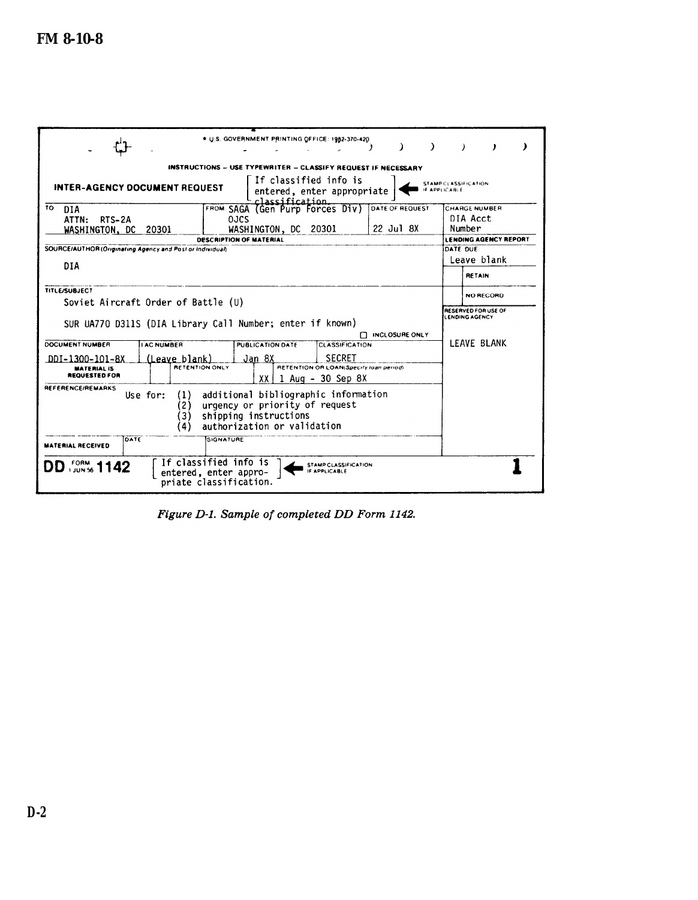<span id="page-38-0"></span>

|                                                                          | * U.S. GOVERNMENT PRINTING OFFICE: 1982-370-420                                                                                | $\rightarrow$<br>-)<br>$\lambda$<br>$\mathbf{r}$<br>J. |
|--------------------------------------------------------------------------|--------------------------------------------------------------------------------------------------------------------------------|--------------------------------------------------------|
|                                                                          |                                                                                                                                |                                                        |
|                                                                          | INSTRUCTIONS - USE TYPEWRITER - CLASSIFY REQUEST IF NECESSARY                                                                  |                                                        |
| <b>INTER-AGENCY DOCUMENT REQUEST</b>                                     | If classified info is<br>entered, enter appropriate<br>classification.                                                         | STAMP CLASSIFICATION<br>IF APPLICABLE                  |
| 10<br>DIA                                                                | FROM SAGA (Gen Purp Forces Div)                                                                                                | DATE OF REQUEST<br>CHARGE NUMBER                       |
| ATTN:<br>RTS-2A                                                          | 0JCS                                                                                                                           | DIA Acct                                               |
| WASHINGTON, DC 20301                                                     | WASHINGTON, DC 20301                                                                                                           | Number<br>$22$ Jul 8X                                  |
|                                                                          | <b>DESCRIPTION OF MATERIAL</b>                                                                                                 | <b>LENDING AGENCY REPORT</b>                           |
| SOURCE/AUTHOR (Originating Agency and Post or Individual)                |                                                                                                                                | DATE OUE                                               |
| DIA                                                                      |                                                                                                                                | Leave blank                                            |
|                                                                          |                                                                                                                                | <b>RETAIN</b>                                          |
| <b>TITLE/SUBJECT</b>                                                     |                                                                                                                                | NO RECORD                                              |
| Soviet Aircraft Order of Battle (U)                                      |                                                                                                                                |                                                        |
|                                                                          |                                                                                                                                | RESERVED FOR USE OF<br>LENDING AGENCY                  |
|                                                                          | SUR UA770 D311S (DIA Library Call Number; enter if known)                                                                      |                                                        |
|                                                                          |                                                                                                                                | <b>CLOSURE ONLY</b>                                    |
| <b>DOCUMENT NUMBER</b><br><b>I AC NUMBER</b>                             | PUBLICATION DATE<br><b>CLASSIFICATION</b>                                                                                      | LEAVE BLANK                                            |
| (Leave blank)<br>DDI-1300-101-8X                                         | <b>SECRET</b><br>Jan 8X                                                                                                        |                                                        |
| <b>MATERIAL IS</b>                                                       | <b>RETENTION ONLY</b><br>RETENTION OR LOAN(Specify loan period)                                                                |                                                        |
| <b>REQUESTED FOR</b>                                                     | $XX$   1 Aug - 30 Sep 8X                                                                                                       |                                                        |
| <b>REFERENCE/REMARKS</b><br>Use for:<br>(1)<br>2)<br>'3)<br>$\mathbf{A}$ | additional bibliographic information<br>urgency or priority of request<br>shipping instructions<br>authorization or validation |                                                        |
| DATE<br><b>MATERIAL RECEIVED</b>                                         | SIGNATURE                                                                                                                      |                                                        |
| <b>DD</b> <i>form</i> <sub>s</sub> 1142                                  | If classified info is<br>STAMP CLASSIFICATION<br>IF APPLICABLE<br>entered, enter appro-<br>priate classification.              |                                                        |

Figure D-1. Sample of completed DD Form 1142.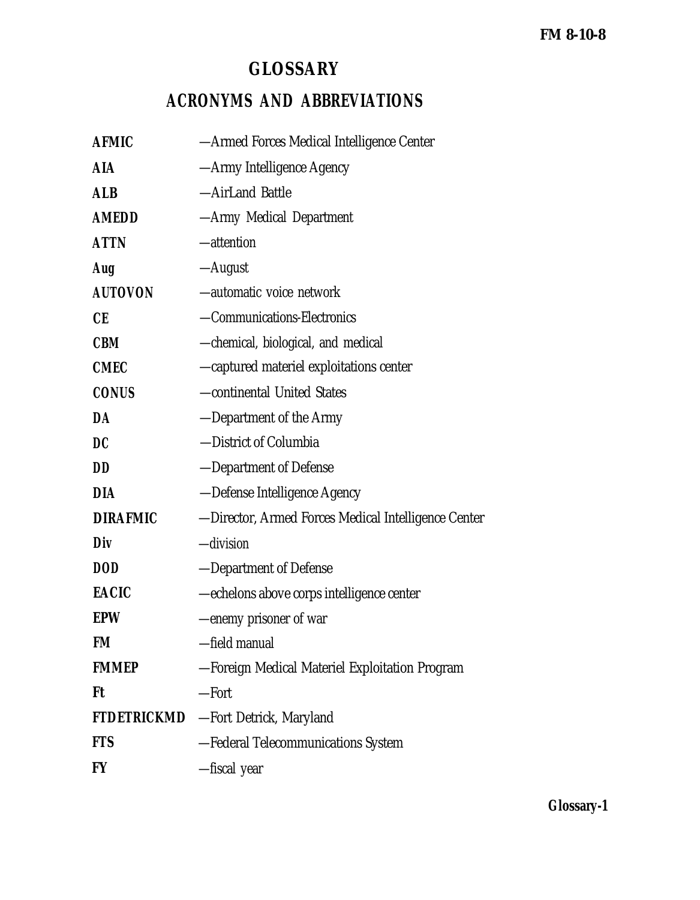# **GLOSSARY**

# **ACRONYMS AND ABBREVIATIONS**

| <b>AFMIC</b>       | — Armed Forces Medical Intelligence Center          |
|--------------------|-----------------------------------------------------|
| <b>AIA</b>         | -Army Intelligence Agency                           |
| <b>ALB</b>         | -AirLand Battle                                     |
| <b>AMEDD</b>       | -Army Medical Department                            |
| <b>ATTN</b>        | -attention                                          |
| Aug                | —August                                             |
| <b>AUTOVON</b>     | -automatic voice network                            |
| CE                 | -Communications-Electronics                         |
| <b>CBM</b>         | -chemical, biological, and medical                  |
| <b>CMEC</b>        | -captured materiel exploitations center             |
| <b>CONUS</b>       | -continental United States                          |
| DA                 | -Department of the Army                             |
| DC                 | -District of Columbia                               |
| <b>DD</b>          | -Department of Defense                              |
| <b>DIA</b>         | -Defense Intelligence Agency                        |
| <b>DIRAFMIC</b>    | -Director, Armed Forces Medical Intelligence Center |
| Div                | -division                                           |
| <b>DOD</b>         | -Department of Defense                              |
| <b>EACIC</b>       | -echelons above corps intelligence center           |
| <b>EPW</b>         | -enemy prisoner of war                              |
| FM                 | -field manual                                       |
| <b>FMMEP</b>       | -Foreign Medical Materiel Exploitation Program      |
| Ft                 | -Fort                                               |
| <b>FTDETRICKMD</b> | -Fort Detrick, Maryland                             |
| <b>FTS</b>         | -Federal Telecommunications System                  |
| <b>FY</b>          | -fiscal year                                        |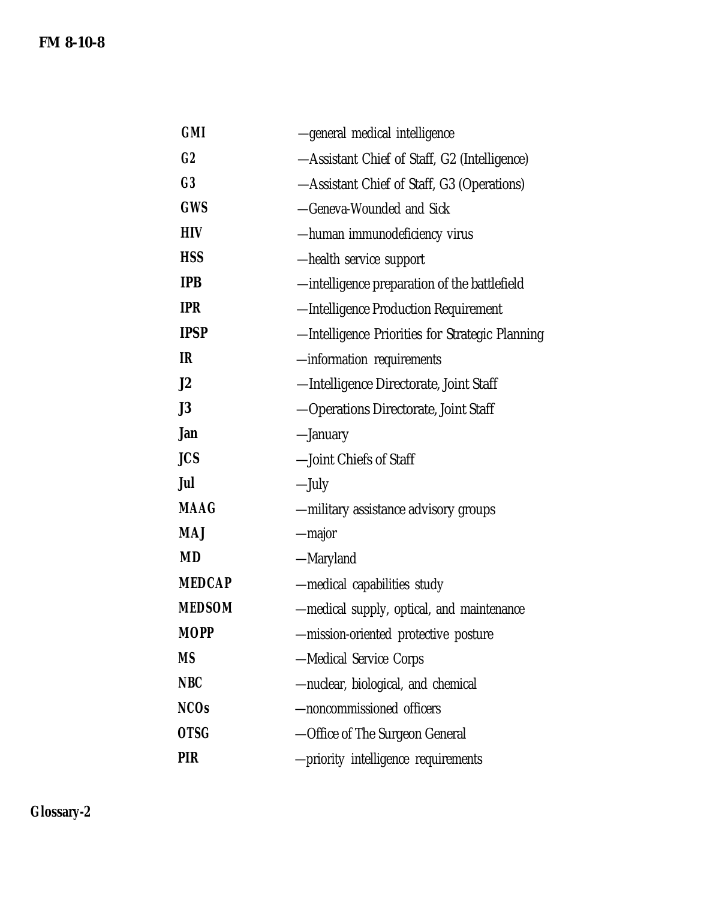| <b>GMI</b>     | -general medical intelligence                   |
|----------------|-------------------------------------------------|
| C <sub>2</sub> | -Assistant Chief of Staff, G2 (Intelligence)    |
| C <sub>3</sub> | -Assistant Chief of Staff, G3 (Operations)      |
| <b>GWS</b>     | -Geneva-Wounded and Sick                        |
| <b>HIV</b>     | -human immunodeficiency virus                   |
| <b>HSS</b>     | -health service support                         |
| <b>IPB</b>     | —intelligence preparation of the battlefield    |
| <b>IPR</b>     | -Intelligence Production Requirement            |
| <b>IPSP</b>    | -Intelligence Priorities for Strategic Planning |
| IR             | -information requirements                       |
| J2             | -Intelligence Directorate, Joint Staff          |
| J3             | -Operations Directorate, Joint Staff            |
| Jan            | -January                                        |
| <b>JCS</b>     | -Joint Chiefs of Staff                          |
| Jul            | —July                                           |
| <b>MAAG</b>    | -military assistance advisory groups            |
| <b>MAJ</b>     | -major                                          |
| <b>MD</b>      | —Maryland                                       |
| <b>MEDCAP</b>  | -medical capabilities study                     |
| <b>MEDSOM</b>  | -medical supply, optical, and maintenance       |
| MOPP           | -mission-oriented protective posture            |
| MS             | -Medical Service Corps                          |
| <b>NBC</b>     | -nuclear, biological, and chemical              |
| <b>NCOs</b>    | -noncommissioned officers                       |
| <b>OTSG</b>    | -Office of The Surgeon General                  |
| PIR            | -priority intelligence requirements             |

**Glossary-2**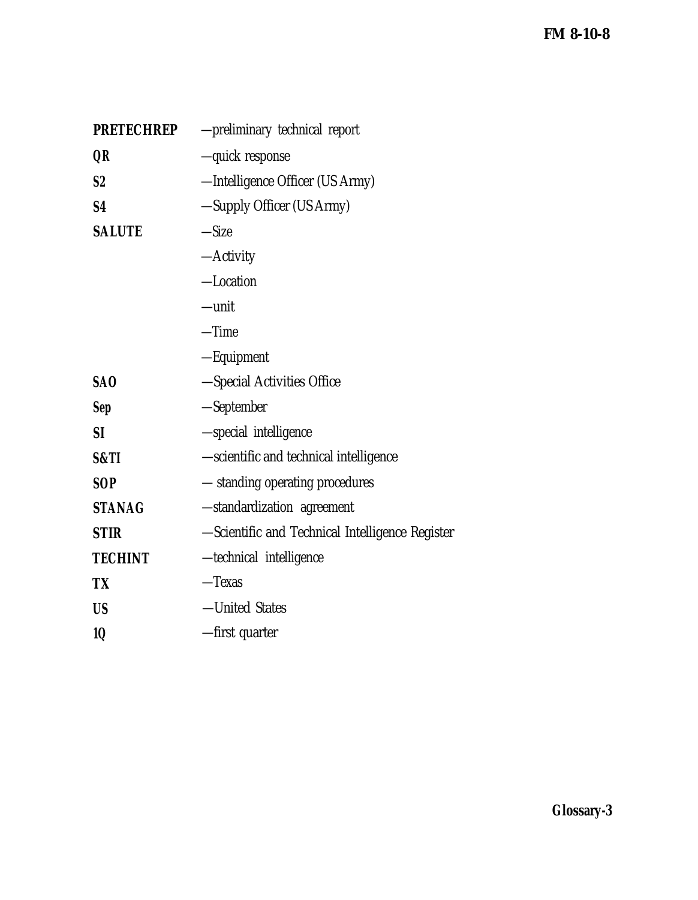| <b>PRETECHREP</b> | -preliminary technical report                   |
|-------------------|-------------------------------------------------|
| QR                | -quick response                                 |
| S <sub>2</sub>    | -Intelligence Officer (US Army)                 |
| S <sub>4</sub>    | -Supply Officer (US Army)                       |
| <b>SALUTE</b>     | $-Size$                                         |
|                   | $-Activity$                                     |
|                   | -Location                                       |
|                   | $-unit$                                         |
|                   | $-Time$                                         |
|                   | -Equipment                                      |
| SA <sub>O</sub>   | -Special Activities Office                      |
| <b>Sep</b>        | -September                                      |
| <b>SI</b>         | -special intelligence                           |
| S&TI              | -scientific and technical intelligence          |
| <b>SOP</b>        | - standing operating procedures                 |
| <b>STANAG</b>     | -standardization agreement                      |
| <b>STIR</b>       | -Scientific and Technical Intelligence Register |
| <b>TECHINT</b>    | -technical intelligence                         |
| <b>TX</b>         | $-$ Texas                                       |
| <b>US</b>         | -United States                                  |
| 1Q                | -first quarter                                  |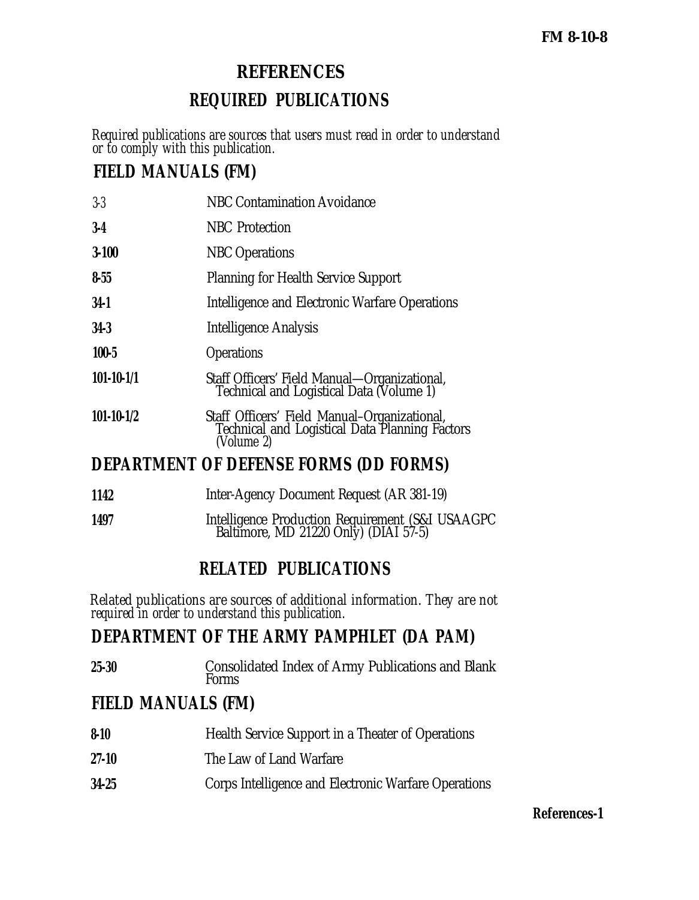# **REFERENCES**

# **REQUIRED PUBLICATIONS**

*Required publications are sources that users must read in order to understand or to comply with this publication.*

# **FIELD MANUALS (FM)**

| $3-3$            | <b>NBC Contamination Avoidance</b>                                                                           |
|------------------|--------------------------------------------------------------------------------------------------------------|
| $3-4$            | <b>NBC</b> Protection                                                                                        |
| $3 - 100$        | <b>NBC</b> Operations                                                                                        |
| $8 - 55$         | <b>Planning for Health Service Support</b>                                                                   |
| $34-1$           | Intelligence and Electronic Warfare Operations                                                               |
| $34-3$           | Intelligence Analysis                                                                                        |
| $100 - 5$        | <b>Operations</b>                                                                                            |
| $101 - 10 - 1/1$ | Staff Officers' Field Manual-Organizational,<br>Technical and Logistical Data (Volume 1)                     |
| $101 - 10 - 1/2$ | Staff Officers' Field Manual-Organizational,<br>Technical and Logistical Data Planning Factors<br>(Volume 2) |
|                  | <b>DEPARTMENT OF DEFENSE FORMS (DD FORMS)</b>                                                                |
| 1142             | Inter-Agency Document Request (AR 381-19)                                                                    |

**1497** Intelligence Production Requirement (S&I USAAGPC Baltimore, MD 21220 Only) (DIAI 57-5)

# **RELATED PUBLICATIONS**

*Related publications are sources of additional information. They are not required in order to understand this publication.*

# **DEPARTMENT OF THE ARMY PAMPHLET (DA PAM)**

**25-30** Consolidated Index of Army Publications and Blank Forms

# **FIELD MANUALS (FM)**

| $8 - 10$  | Health Service Support in a Theater of Operations    |
|-----------|------------------------------------------------------|
| $27-10$   | The Law of Land Warfare                              |
| $34 - 25$ | Corps Intelligence and Electronic Warfare Operations |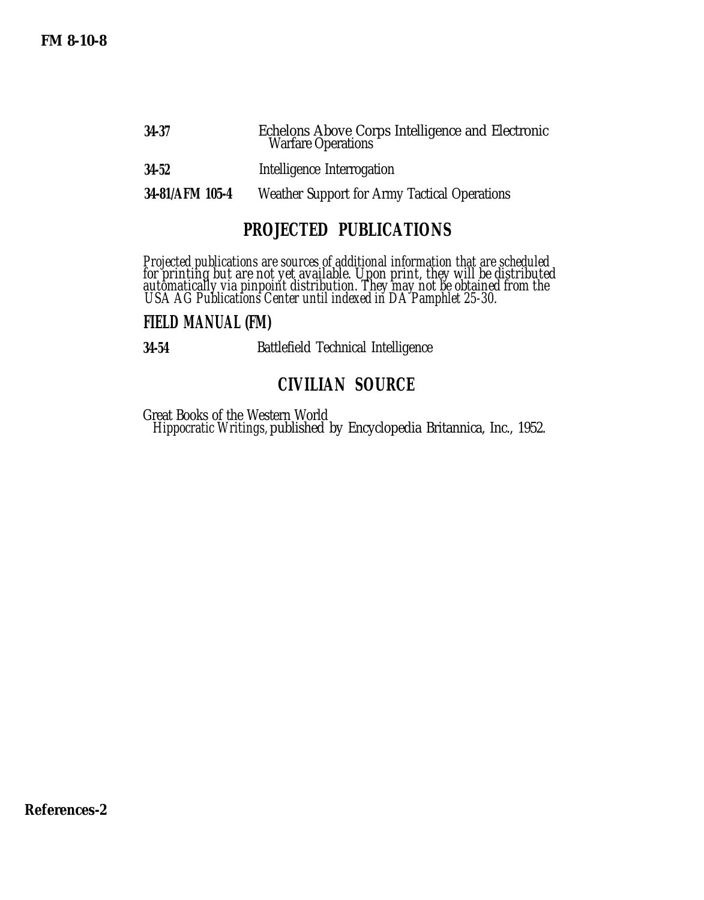| 34-37     | Echelons Above Corps Intelligence and Electronic<br><b>Warfare Operations</b> |
|-----------|-------------------------------------------------------------------------------|
| $34 - 52$ | Intelligence Interrogation                                                    |

**34-81/AFM 105-4** Weather Support for Army Tactical Operations

# **PROJECTED PUBLICATIONS**

*Projected publications are sources of additional information that are scheduled for printing but are not yet available. Upon print, they will be distributed automatically via pinpoint distribution. They may not be obtained from the USA AG Publications Center until indexed in DA Pamphlet 25-30.*

## **FIELD MANUAL (FM)**

**34-54** Battlefield Technical Intelligence

# **CIVILIAN SOURCE**

Great Books of the Western World *Hippocratic Writings,* published by Encyclopedia Britannica, Inc., 1952.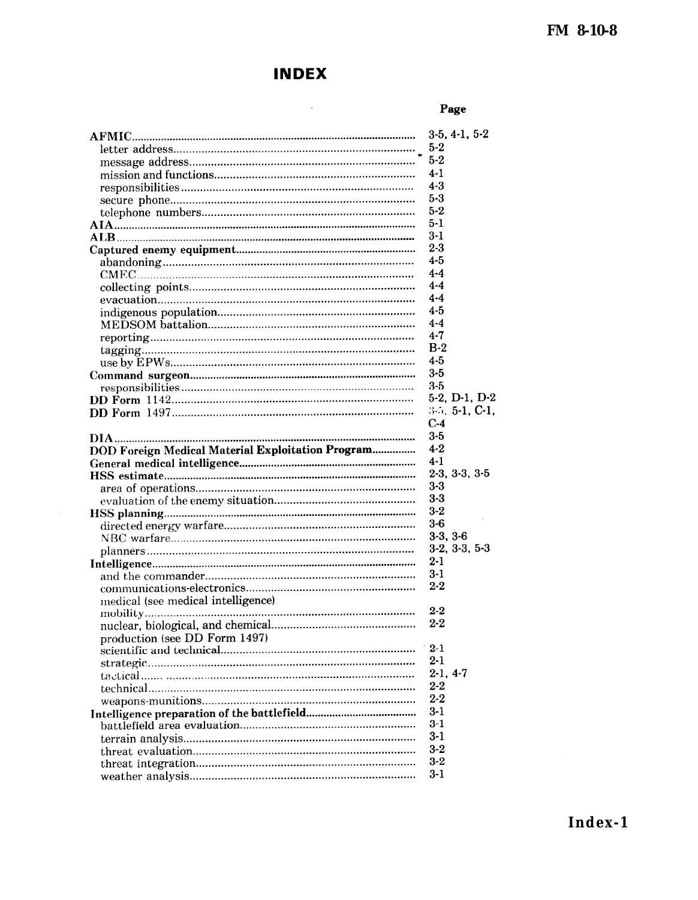# **INDEX**

 $\sim 10^{11}$ 

## Page

|                                                   | $3-5, 4-1, 5-2$               |
|---------------------------------------------------|-------------------------------|
|                                                   | $5-2$                         |
|                                                   | $5 - 2$                       |
|                                                   | $4-1$                         |
|                                                   | $4 - 3$                       |
|                                                   | $5 - 3$                       |
|                                                   | $5 - 2$                       |
|                                                   | $5 - 1$                       |
|                                                   | $3-1$                         |
|                                                   | $2 - 3$                       |
|                                                   | $4 - 5$                       |
|                                                   | $4 - 4$                       |
|                                                   | $4-4$                         |
|                                                   | $4 - 4$                       |
|                                                   | 4-5                           |
|                                                   | $4-4$                         |
|                                                   | $4 - 7$                       |
|                                                   | $B-2$                         |
|                                                   | $4 - 5$                       |
|                                                   | $3 - 5$                       |
|                                                   | $3-5$                         |
|                                                   | $5-2$ , D $-1$ , D $-2$       |
|                                                   | 3-5, 5-1, C-1.                |
|                                                   | $C-4$                         |
|                                                   | $3 - 5$                       |
| DOD Foreign Medical Material Exploitation Program | $4 - 2$                       |
|                                                   |                               |
|                                                   | $4-1$                         |
|                                                   | $2-3, 3-3, 3-5$               |
|                                                   | $3-3$                         |
|                                                   | $3-3$                         |
|                                                   | $3 - 2$                       |
|                                                   | $3-6$                         |
|                                                   |                               |
|                                                   | $3-3, 3-6$<br>$3-2, 3-3, 5-3$ |
|                                                   | $2 - 1$                       |
|                                                   |                               |
|                                                   | $3-1$<br>$2 - 2$              |
|                                                   |                               |
| medical (see medical intelligence)                | $2-2$                         |
|                                                   | $2 - 2$                       |
|                                                   |                               |
| production (see DD Form 1497)                     | $2 - 1$                       |
|                                                   |                               |
|                                                   | $2 - 1$                       |
|                                                   | $2-1, 4-7$                    |
|                                                   | $2 - 2$                       |
|                                                   | $2 - 2$                       |
|                                                   | $3-1$                         |
|                                                   | $3-1$                         |
|                                                   | $3-1$                         |
|                                                   | $3 - 2$                       |
|                                                   | $3 - 2$<br>$3-1$              |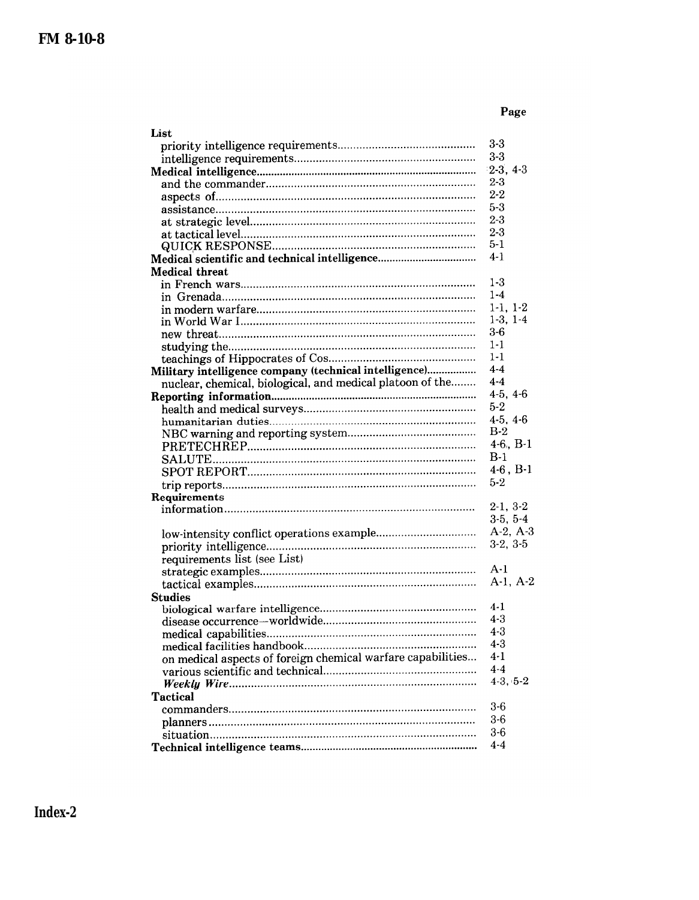## Page

| List                                                        |               |
|-------------------------------------------------------------|---------------|
|                                                             | $3-3$         |
|                                                             | $3 - 3$       |
|                                                             | $2-3, 4-3$    |
|                                                             | $2 - 3$       |
|                                                             | $2 - 2$       |
|                                                             | $5 - 3$       |
|                                                             | $2 - 3$       |
|                                                             | $2 - 3$       |
|                                                             | $5 - 1$       |
|                                                             | 4-1           |
| <b>Medical threat</b>                                       |               |
|                                                             | 1-3           |
|                                                             | $1 - 4$       |
|                                                             | $1-1, 1-2$    |
|                                                             | $1-3, 1-4$    |
|                                                             | $3-6$         |
|                                                             | 1-1           |
|                                                             | $1 - 1$       |
| Military intelligence company (technical intelligence)      | $4 - 4$       |
| nuclear, chemical, biological, and medical platoon of the   | $4-4$         |
|                                                             | $4-5, 4-6$    |
|                                                             | $5-2$         |
|                                                             | $4-5, 4-6$    |
|                                                             | $B-2$         |
|                                                             | $4-6$ , $B-1$ |
|                                                             | $B-1$         |
|                                                             | $4-6$ , $B-1$ |
|                                                             | $5-2$         |
| Requirements                                                |               |
|                                                             | $2-1, 3-2$    |
|                                                             | $3-5, 5-4$    |
|                                                             | $A-2, A-3$    |
|                                                             | $3-2, 3-5$    |
| requirements list (see List)                                |               |
|                                                             | $A-1$         |
|                                                             | $A-1, A-2$    |
| <b>Studies</b>                                              |               |
|                                                             | $4-1$         |
|                                                             | $4-3$         |
|                                                             | $4 - 3$       |
|                                                             | $4 - 3$       |
| on medical aspects of foreign chemical warfare capabilities | $4-1$         |
|                                                             | $4 - 4$       |
|                                                             | $4-3, 5-2$    |
| <b>Tactical</b>                                             |               |
|                                                             | $3-6$         |
|                                                             | 3-6           |
|                                                             | $3-6$         |
|                                                             | $4-4$         |
|                                                             |               |